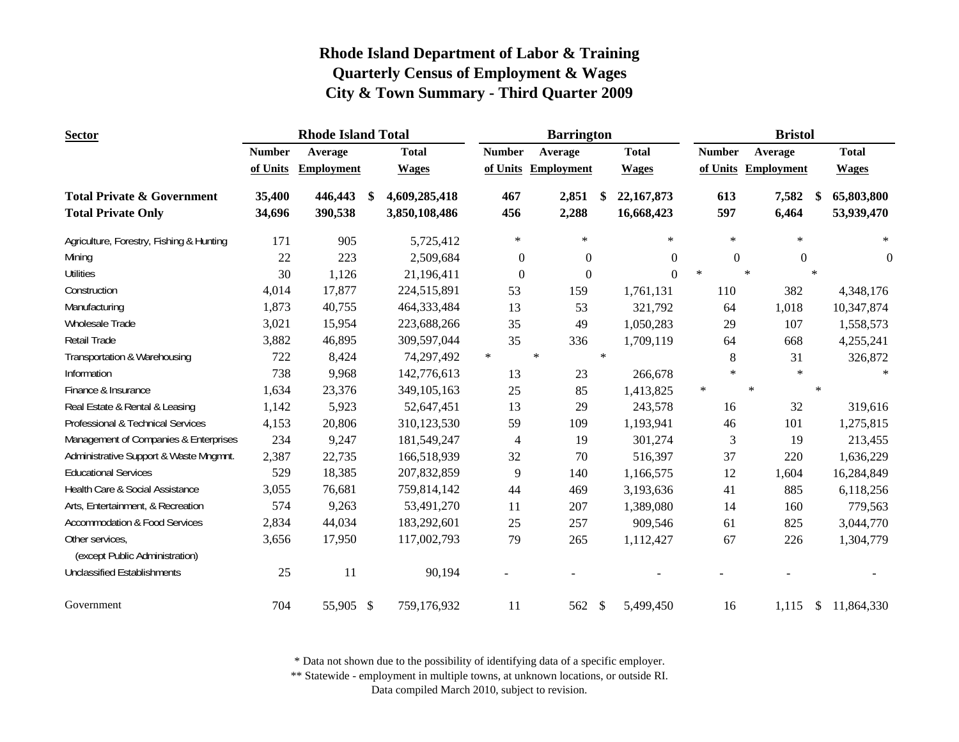| <b>Sector</b>                                     |               | <b>Rhode Island Total</b> |     |               |                  | <b>Barrington</b>   |               |              |        |                  |        | <b>Bristol</b>    |        |                |
|---------------------------------------------------|---------------|---------------------------|-----|---------------|------------------|---------------------|---------------|--------------|--------|------------------|--------|-------------------|--------|----------------|
|                                                   | <b>Number</b> | Average                   |     | <b>Total</b>  | <b>Number</b>    | Average             |               | <b>Total</b> |        | <b>Number</b>    |        | Average           |        | <b>Total</b>   |
|                                                   | of Units      | <b>Employment</b>         |     | <b>Wages</b>  |                  | of Units Employment |               | <b>Wages</b> |        | of Units         |        | <b>Employment</b> |        | <b>Wages</b>   |
| <b>Total Private &amp; Government</b>             | 35,400        | 446,443                   | -\$ | 4,609,285,418 | 467              | 2,851               | - \$          | 22, 167, 873 |        | 613              |        | 7,582             |        | 65,803,800     |
| <b>Total Private Only</b>                         | 34,696        | 390,538                   |     | 3,850,108,486 | 456              | 2,288               |               | 16,668,423   |        | 597              |        | 6,464             |        | 53,939,470     |
| Agriculture, Forestry, Fishing & Hunting          | 171           | 905                       |     | 5,725,412     | $\ast$           | $\ast$              |               | $\ast$       |        | $\ast$           |        | $\ast$            |        | $\ast$         |
| Mining                                            | 22            | 223                       |     | 2,509,684     | $\theta$         | $\overline{0}$      |               | $\Omega$     |        | $\boldsymbol{0}$ |        | $\mathbf{0}$      |        | $\overline{0}$ |
| <b>Utilities</b>                                  | 30            | 1,126                     |     | 21,196,411    | $\boldsymbol{0}$ | $\mathbf{0}$        |               | $\Omega$     | $\ast$ |                  | $\ast$ |                   | $\ast$ |                |
| Construction                                      | 4,014         | 17,877                    |     | 224,515,891   | 53               | 159                 |               | 1,761,131    |        | 110              |        | 382               |        | 4,348,176      |
| Manufacturing                                     | 1,873         | 40,755                    |     | 464,333,484   | 13               | 53                  |               | 321,792      |        | 64               |        | 1,018             |        | 10,347,874     |
| Wholesale Trade                                   | 3,021         | 15,954                    |     | 223,688,266   | 35               | 49                  |               | 1,050,283    |        | 29               |        | 107               |        | 1,558,573      |
| Retail Trade                                      | 3,882         | 46,895                    |     | 309,597,044   | 35               | 336                 |               | 1,709,119    |        | 64               |        | 668               |        | 4,255,241      |
| Transportation & Warehousing                      | 722           | 8,424                     |     | 74,297,492    | $\ast$           | $\ast$              | $\ast$        |              |        | 8                |        | 31                |        | 326,872        |
| Information                                       | 738           | 9,968                     |     | 142,776,613   | 13               | 23                  |               | 266,678      |        | $\ast$           |        | $\ast$            |        |                |
| Finance & Insurance                               | 1,634         | 23,376                    |     | 349,105,163   | 25               | 85                  |               | 1,413,825    | $\ast$ |                  | $\ast$ |                   | $\ast$ |                |
| Real Estate & Rental & Leasing                    | 1,142         | 5,923                     |     | 52,647,451    | 13               | 29                  |               | 243,578      |        | 16               |        | 32                |        | 319,616        |
| Professional & Technical Services                 | 4,153         | 20,806                    |     | 310,123,530   | 59               | 109                 |               | 1,193,941    |        | 46               |        | 101               |        | 1,275,815      |
| Management of Companies & Enterprises             | 234           | 9,247                     |     | 181,549,247   | 4                | 19                  |               | 301,274      |        | 3                |        | 19                |        | 213,455        |
| Administrative Support & Waste Mngmnt.            | 2,387         | 22,735                    |     | 166,518,939   | 32               | 70                  |               | 516,397      |        | 37               |        | 220               |        | 1,636,229      |
| <b>Educational Services</b>                       | 529           | 18,385                    |     | 207,832,859   | 9                | 140                 |               | 1,166,575    |        | 12               |        | 1,604             |        | 16,284,849     |
| Health Care & Social Assistance                   | 3,055         | 76,681                    |     | 759,814,142   | 44               | 469                 |               | 3,193,636    |        | 41               |        | 885               |        | 6,118,256      |
| Arts, Entertainment, & Recreation                 | 574           | 9,263                     |     | 53,491,270    | 11               | 207                 |               | 1,389,080    |        | 14               |        | 160               |        | 779,563        |
| <b>Accommodation &amp; Food Services</b>          | 2,834         | 44,034                    |     | 183,292,601   | 25               | 257                 |               | 909,546      |        | 61               |        | 825               |        | 3,044,770      |
| Other services,<br>(except Public Administration) | 3,656         | 17,950                    |     | 117,002,793   | 79               | 265                 |               | 1,112,427    |        | 67               |        | 226               |        | 1,304,779      |
| <b>Unclassified Establishments</b>                | 25            | 11                        |     | 90,194        |                  |                     |               |              |        |                  |        |                   |        |                |
| Government                                        | 704           | 55,905 \$                 |     | 759,176,932   | 11               | 562                 | $\mathcal{S}$ | 5,499,450    |        | 16               |        | 1,115             | \$     | 11,864,330     |

\* Data not shown due to the possibility of identifying data of a specific employer.

\*\* Statewide - employment in multiple towns, at unknown locations, or outside RI.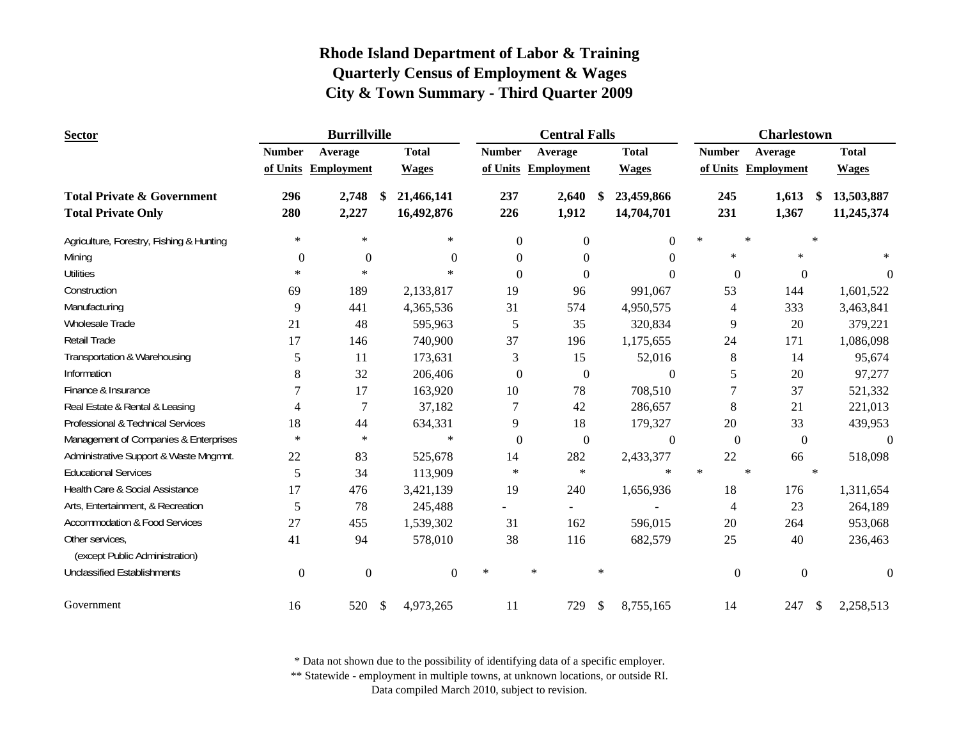| <b>Sector</b>                            |               | <b>Burrillville</b> |                  |               | <b>Central Falls</b>     |        |                  |        |                  |                     | <b>Charlestown</b> |        |              |
|------------------------------------------|---------------|---------------------|------------------|---------------|--------------------------|--------|------------------|--------|------------------|---------------------|--------------------|--------|--------------|
|                                          | <b>Number</b> | Average             | <b>Total</b>     | <b>Number</b> | Average                  |        | <b>Total</b>     |        | <b>Number</b>    | Average             |                    |        | <b>Total</b> |
|                                          |               | of Units Employment | <b>Wages</b>     |               | of Units Employment      |        | <b>Wages</b>     |        |                  | of Units Employment |                    |        | <b>Wages</b> |
| <b>Total Private &amp; Government</b>    | 296           | 2,748               | \$<br>21,466,141 | 237           | 2,640                    | S      | 23,459,866       |        | 245              |                     | 1,613              | -SS    | 13,503,887   |
| <b>Total Private Only</b>                | 280           | 2,227               | 16,492,876       | 226           | 1,912                    |        | 14,704,701       |        | 231              |                     | 1,367              |        | 11,245,374   |
| Agriculture, Forestry, Fishing & Hunting | $\ast$        | $\ast$              | $\star$          | $\Omega$      | $\Omega$                 |        | $\Omega$         | $\ast$ |                  | $\star$             |                    | $\ast$ |              |
| Mining                                   | $\Omega$      | $\Omega$            | $\Omega$         | $\Omega$      | $\Omega$                 |        | 0                |        | $\ast$           |                     | $\ast$             |        |              |
| <b>Utilities</b>                         | $\ast$        | $\ast$              | $\ast$           | $\Omega$      | $\Omega$                 |        | $\theta$         |        | $\mathbf{0}$     |                     | $\mathbf{0}$       |        | $\theta$     |
| Construction                             | 69            | 189                 | 2,133,817        | 19            | 96                       |        | 991,067          |        | 53               |                     | 144                |        | 1,601,522    |
| Manufacturing                            | 9             | 441                 | 4,365,536        | 31            | 574                      |        | 4,950,575        |        | 4                |                     | 333                |        | 3,463,841    |
| <b>Wholesale Trade</b>                   | 21            | 48                  | 595,963          | 5             | 35                       |        | 320,834          |        | 9                |                     | 20                 |        | 379,221      |
| Retail Trade                             | 17            | 146                 | 740,900          | 37            | 196                      |        | 1,175,655        |        | 24               |                     | 171                |        | 1,086,098    |
| Transportation & Warehousing             | 5             | 11                  | 173,631          | 3             | 15                       |        | 52,016           |        | 8                |                     | 14                 |        | 95,674       |
| Information                              | 8             | 32                  | 206,406          | $\mathbf{0}$  | $\mathbf{0}$             |        | $\Omega$         |        | 5                |                     | $20\,$             |        | 97,277       |
| Finance & Insurance                      | 7             | 17                  | 163,920          | 10            | 78                       |        | 708,510          |        | 7                |                     | 37                 |        | 521,332      |
| Real Estate & Rental & Leasing           | 4             | 7                   | 37,182           | 7             | 42                       |        | 286,657          |        | 8                |                     | 21                 |        | 221,013      |
| Professional & Technical Services        | 18            | 44                  | 634,331          | 9             | 18                       |        | 179,327          |        | 20               |                     | 33                 |        | 439,953      |
| Management of Companies & Enterprises    | $\ast$        | $\star$             | $\ast$           | $\mathbf{0}$  | $\mathbf{0}$             |        | $\boldsymbol{0}$ |        | $\boldsymbol{0}$ |                     | $\boldsymbol{0}$   |        | $\Omega$     |
| Administrative Support & Waste Mngmnt.   | 22            | 83                  | 525,678          | 14            | 282                      |        | 2,433,377        |        | 22               |                     | 66                 |        | 518,098      |
| <b>Educational Services</b>              | 5             | 34                  | 113,909          | $\ast$        | $\star$                  |        | $\ast$           | $\ast$ |                  | $\star$             |                    | $\ast$ |              |
| Health Care & Social Assistance          | 17            | 476                 | 3,421,139        | 19            | 240                      |        | 1,656,936        |        | 18               |                     | 176                |        | 1,311,654    |
| Arts, Entertainment, & Recreation        | 5             | 78                  | 245,488          |               | $\overline{\phantom{a}}$ |        |                  |        | $\overline{4}$   |                     | 23                 |        | 264,189      |
| <b>Accommodation &amp; Food Services</b> | 27            | 455                 | 1,539,302        | 31            | 162                      |        | 596,015          |        | 20               |                     | 264                |        | 953,068      |
| Other services,                          | 41            | 94                  | 578,010          | 38            | 116                      |        | 682,579          |        | 25               |                     | 40                 |        | 236,463      |
| (except Public Administration)           |               |                     |                  |               |                          |        |                  |        |                  |                     |                    |        |              |
| <b>Unclassified Establishments</b>       | $\mathbf{0}$  | $\boldsymbol{0}$    | $\Omega$         | $\ast$        | $\ast$                   | $\ast$ |                  |        | $\boldsymbol{0}$ |                     | $\boldsymbol{0}$   |        | $\theta$     |
| Government                               | 16            | 520                 | \$<br>4,973,265  | 11            | 729                      | \$     | 8,755,165        |        | 14               |                     | 247                | \$     | 2,258,513    |

\* Data not shown due to the possibility of identifying data of a specific employer.

\*\* Statewide - employment in multiple towns, at unknown locations, or outside RI.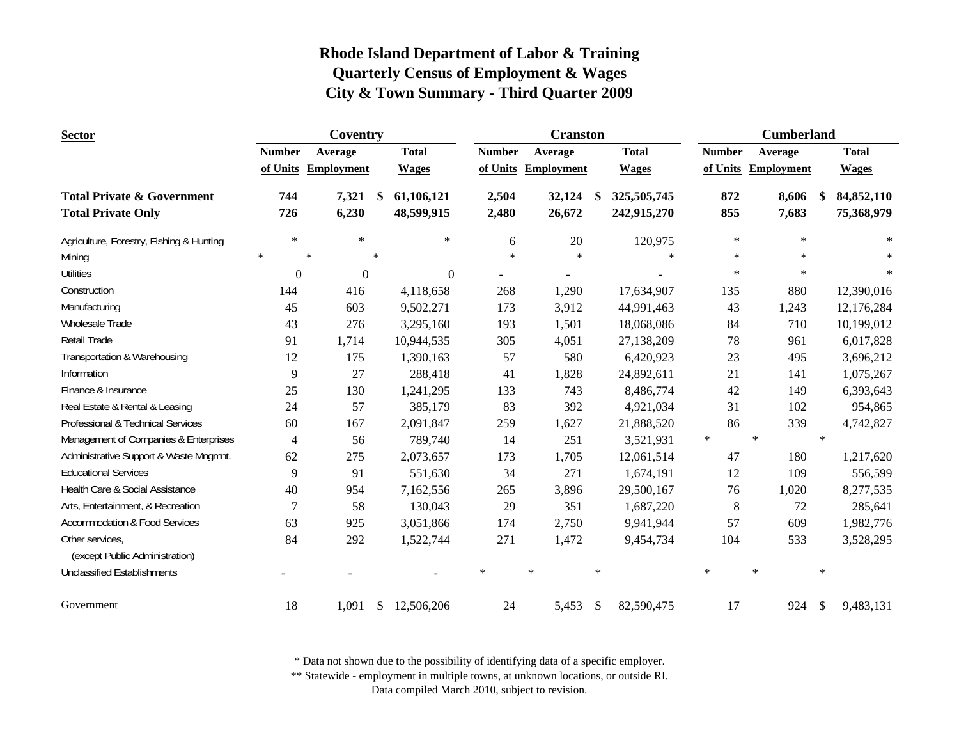| <b>Sector</b>                            |               | Coventry            |              |              |               |        | <b>Cranston</b>   |               |              |        |               | <b>Cumberland</b> |               |              |
|------------------------------------------|---------------|---------------------|--------------|--------------|---------------|--------|-------------------|---------------|--------------|--------|---------------|-------------------|---------------|--------------|
|                                          | <b>Number</b> | Average             |              | <b>Total</b> | <b>Number</b> |        | Average           |               | <b>Total</b> |        | <b>Number</b> | Average           |               | <b>Total</b> |
|                                          |               | of Units Employment |              | <b>Wages</b> | of Units      |        | <b>Employment</b> |               | <b>Wages</b> |        | of Units      | <b>Employment</b> |               | <b>Wages</b> |
| <b>Total Private &amp; Government</b>    | 744           | 7,321               | \$           | 61,106,121   | 2,504         |        | 32,124            | \$            | 325,505,745  |        | 872           | 8,606             | <sup>\$</sup> | 84,852,110   |
| <b>Total Private Only</b>                | 726           | 6,230               |              | 48,599,915   | 2,480         |        | 26,672            |               | 242,915,270  |        | 855           | 7,683             |               | 75,368,979   |
| Agriculture, Forestry, Fishing & Hunting | $\ast$        | $\ast$              |              | $\ast$       | 6             |        | $20\,$            |               | 120,975      |        | $\ast$        | $\ast$            |               | $\ast$       |
| Mining                                   | $\ast$        | $\ast$              | $\ast$       |              | $\ast$        |        | $\ast$            |               | $\ast$       |        | $\ast$        | $\ast$            |               |              |
| <b>Utilities</b>                         | $\Omega$      | $\theta$            |              | $\Omega$     |               |        | $\blacksquare$    |               |              |        | $\ast$        | $\ast$            |               | $\ast$       |
| Construction                             | 144           | 416                 |              | 4,118,658    | 268           |        | 1,290             |               | 17,634,907   |        | 135           | 880               |               | 12,390,016   |
| Manufacturing                            | 45            | 603                 |              | 9,502,271    | 173           |        | 3,912             |               | 44,991,463   |        | 43            | 1,243             |               | 12,176,284   |
| Wholesale Trade                          | 43            | 276                 |              | 3,295,160    | 193           |        | 1,501             |               | 18,068,086   |        | 84            | 710               |               | 10,199,012   |
| Retail Trade                             | 91            | 1,714               |              | 10,944,535   | 305           |        | 4,051             |               | 27,138,209   |        | 78            | 961               |               | 6,017,828    |
| Transportation & Warehousing             | 12            | 175                 |              | 1,390,163    | 57            |        | 580               |               | 6,420,923    |        | 23            | 495               |               | 3,696,212    |
| Information                              | 9             | 27                  |              | 288,418      | 41            |        | 1,828             |               | 24,892,611   |        | 21            | 141               |               | 1,075,267    |
| Finance & Insurance                      | 25            | 130                 |              | 1,241,295    | 133           |        | 743               |               | 8,486,774    |        | 42            | 149               |               | 6,393,643    |
| Real Estate & Rental & Leasing           | 24            | 57                  |              | 385,179      | 83            |        | 392               |               | 4,921,034    |        | 31            | 102               |               | 954,865      |
| Professional & Technical Services        | 60            | 167                 |              | 2,091,847    | 259           |        | 1,627             |               | 21,888,520   |        | 86            | 339               |               | 4,742,827    |
| Management of Companies & Enterprises    | 4             | 56                  |              | 789,740      | 14            |        | 251               |               | 3,521,931    | $\ast$ |               | $\star$           | $\ast$        |              |
| Administrative Support & Waste Mngmnt.   | 62            | 275                 |              | 2,073,657    | 173           |        | 1,705             |               | 12,061,514   |        | 47            | 180               |               | 1,217,620    |
| <b>Educational Services</b>              | 9             | 91                  |              | 551,630      | 34            |        | 271               |               | 1,674,191    |        | 12            | 109               |               | 556,599      |
| Health Care & Social Assistance          | 40            | 954                 |              | 7,162,556    | 265           |        | 3,896             |               | 29,500,167   |        | 76            | 1,020             |               | 8,277,535    |
| Arts, Entertainment, & Recreation        | 7             | 58                  |              | 130,043      | 29            |        | 351               |               | 1,687,220    |        | $8\,$         | 72                |               | 285,641      |
| <b>Accommodation &amp; Food Services</b> | 63            | 925                 |              | 3,051,866    | 174           |        | 2,750             |               | 9,941,944    |        | 57            | 609               |               | 1,982,776    |
| Other services,                          | 84            | 292                 |              | 1,522,744    | 271           |        | 1,472             |               | 9,454,734    |        | 104           | 533               |               | 3,528,295    |
| (except Public Administration)           |               |                     |              |              |               |        |                   |               |              |        |               |                   |               |              |
| <b>Unclassified Establishments</b>       |               |                     |              |              | $\ast$        | $\ast$ |                   | $\ast$        |              | $\ast$ |               | $\ast$            | $\ast$        |              |
| Government                               | 18            | 1,091               | $\mathbb{S}$ | 12,506,206   | 24            |        | 5,453             | $\mathbf{\$}$ | 82,590,475   |        | 17            | 924               | $\mathcal{S}$ | 9,483,131    |

\* Data not shown due to the possibility of identifying data of a specific employer.

\*\* Statewide - employment in multiple towns, at unknown locations, or outside RI.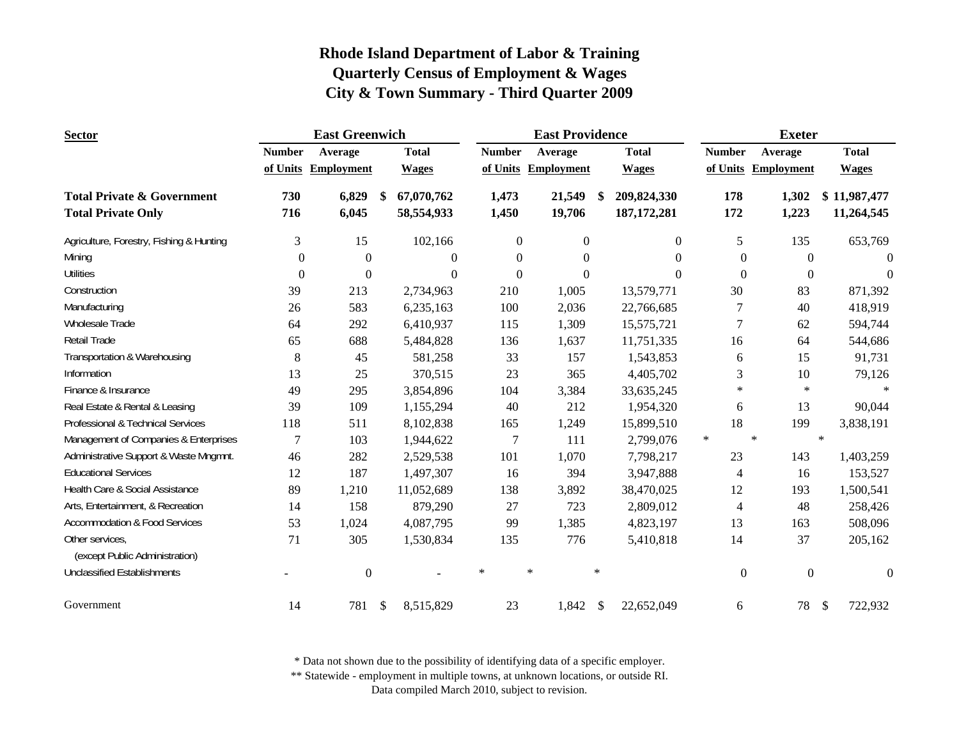| <b>Sector</b>                            | <b>East Greenwich</b> |                     |    |                |                | <b>East Providence</b> |        |               |        |                  | <b>Exeter</b>       |                          |
|------------------------------------------|-----------------------|---------------------|----|----------------|----------------|------------------------|--------|---------------|--------|------------------|---------------------|--------------------------|
|                                          | <b>Number</b>         | Average             |    | <b>Total</b>   | <b>Number</b>  | Average                |        | <b>Total</b>  |        | <b>Number</b>    | Average             | <b>Total</b>             |
|                                          |                       | of Units Employment |    | <b>Wages</b>   |                | of Units Employment    |        | <b>Wages</b>  |        |                  | of Units Employment | <b>Wages</b>             |
| <b>Total Private &amp; Government</b>    | 730                   | 6,829               | \$ | 67,070,762     | 1,473          | 21,549                 | \$.    | 209,824,330   |        | 178              | 1,302               | \$11,987,477             |
| <b>Total Private Only</b>                | 716                   | 6,045               |    | 58,554,933     | 1,450          | 19,706                 |        | 187, 172, 281 |        | 172              | 1,223               | 11,264,545               |
| Agriculture, Forestry, Fishing & Hunting | 3                     | 15                  |    | 102,166        | $\overline{0}$ | $\overline{0}$         |        | $\theta$      |        | 5                | 135                 | 653,769                  |
| Mining                                   | $\Omega$              | $\Omega$            |    | $\Omega$       | $\Omega$       | $\Omega$               |        | $\Omega$      |        | $\Omega$         | $\Omega$            | $\Omega$                 |
| <b>Utilities</b>                         | $\mathbf{0}$          | $\mathbf{0}$        |    | $\overline{0}$ | $\Omega$       | $\Omega$               |        | $\Omega$      |        | $\theta$         | $\overline{0}$      | $\theta$                 |
| Construction                             | 39                    | 213                 |    | 2,734,963      | 210            | 1,005                  |        | 13,579,771    |        | 30               | 83                  | 871,392                  |
| Manufacturing                            | 26                    | 583                 |    | 6,235,163      | 100            | 2,036                  |        | 22,766,685    |        | 7                | 40                  | 418,919                  |
| <b>Wholesale Trade</b>                   | 64                    | 292                 |    | 6,410,937      | 115            | 1,309                  |        | 15,575,721    |        | 7                | 62                  | 594,744                  |
| Retail Trade                             | 65                    | 688                 |    | 5,484,828      | 136            | 1,637                  |        | 11,751,335    |        | 16               | 64                  | 544,686                  |
| Transportation & Warehousing             | 8                     | 45                  |    | 581,258        | 33             | 157                    |        | 1,543,853     |        | 6                | 15                  | 91,731                   |
| Information                              | 13                    | 25                  |    | 370,515        | 23             | 365                    |        | 4,405,702     |        | 3                | 10                  | 79,126                   |
| Finance & Insurance                      | 49                    | 295                 |    | 3,854,896      | 104            | 3,384                  |        | 33,635,245    |        | $\ast$           | $\ast$              | $\ast$                   |
| Real Estate & Rental & Leasing           | 39                    | 109                 |    | 1,155,294      | 40             | 212                    |        | 1,954,320     |        | 6                | 13                  | 90,044                   |
| Professional & Technical Services        | 118                   | 511                 |    | 8,102,838      | 165            | 1,249                  |        | 15,899,510    |        | 18               | 199                 | 3,838,191                |
| Management of Companies & Enterprises    | 7                     | 103                 |    | 1,944,622      | 7              | 111                    |        | 2,799,076     | $\ast$ |                  | $\ast$              | $\ast$                   |
| Administrative Support & Waste Mngmnt.   | 46                    | 282                 |    | 2,529,538      | 101            | 1,070                  |        | 7,798,217     |        | 23               | 143                 | 1,403,259                |
| <b>Educational Services</b>              | 12                    | 187                 |    | 1,497,307      | 16             | 394                    |        | 3,947,888     |        | $\overline{4}$   | 16                  | 153,527                  |
| Health Care & Social Assistance          | 89                    | 1,210               |    | 11,052,689     | 138            | 3,892                  |        | 38,470,025    |        | 12               | 193                 | 1,500,541                |
| Arts, Entertainment, & Recreation        | 14                    | 158                 |    | 879,290        | 27             | 723                    |        | 2,809,012     |        | $\overline{4}$   | 48                  | 258,426                  |
| <b>Accommodation &amp; Food Services</b> | 53                    | 1,024               |    | 4,087,795      | 99             | 1,385                  |        | 4,823,197     |        | 13               | 163                 | 508,096                  |
| Other services,                          | 71                    | 305                 |    | 1,530,834      | 135            | 776                    |        | 5,410,818     |        | 14               | 37                  | 205,162                  |
| (except Public Administration)           |                       |                     |    |                |                |                        |        |               |        |                  |                     |                          |
| <b>Unclassified Establishments</b>       |                       | $\boldsymbol{0}$    |    |                | $\ast$         | $\ast$                 | $\ast$ |               |        | $\boldsymbol{0}$ | $\mathbf{0}$        | $\theta$                 |
| Government                               | 14                    | 781                 | \$ | 8,515,829      | 23             | 1,842                  | \$     | 22,652,049    |        | 6                | 78                  | $\mathcal{S}$<br>722,932 |

\* Data not shown due to the possibility of identifying data of a specific employer.

\*\* Statewide - employment in multiple towns, at unknown locations, or outside RI.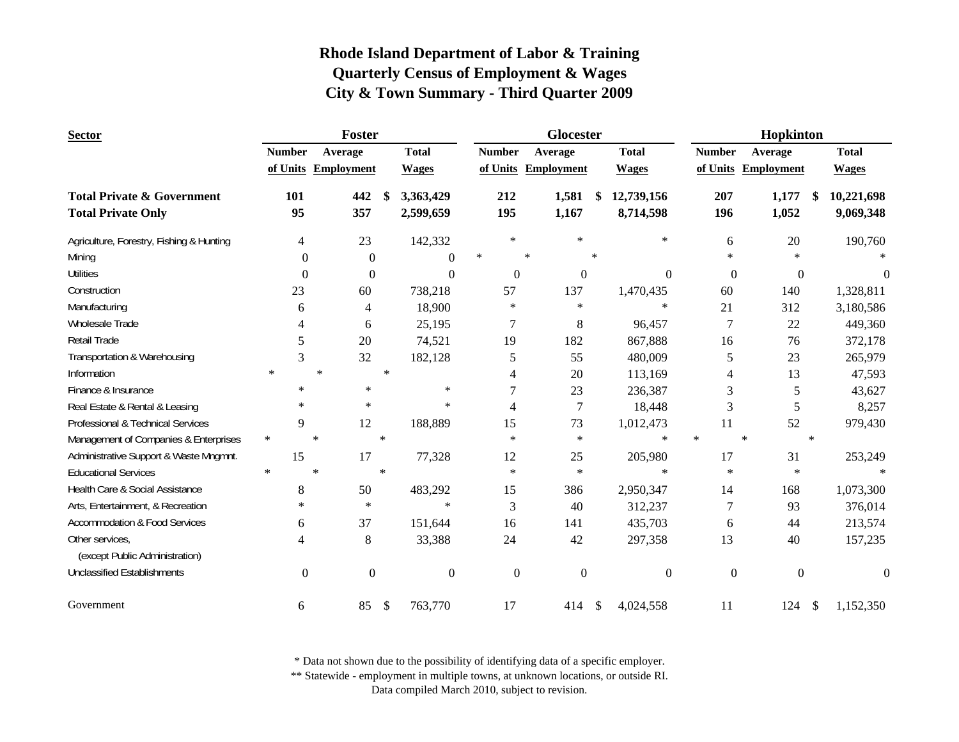| <b>Sector</b>                                     |                | Foster            |        |              |                  | Glocester           |        |                  |                  | Hopkinton         |        |              |
|---------------------------------------------------|----------------|-------------------|--------|--------------|------------------|---------------------|--------|------------------|------------------|-------------------|--------|--------------|
|                                                   | <b>Number</b>  | Average           |        | <b>Total</b> | <b>Number</b>    | Average             |        | <b>Total</b>     | <b>Number</b>    | Average           |        | <b>Total</b> |
|                                                   | of Units       | <b>Employment</b> |        | <b>Wages</b> |                  | of Units Employment |        | <b>Wages</b>     | of Units         | <b>Employment</b> |        | <b>Wages</b> |
| <b>Total Private &amp; Government</b>             | 101            | 442               | \$     | 3,363,429    | 212              | 1,581               | \$     | 12,739,156       | 207              | 1,177             | -S     | 10,221,698   |
| <b>Total Private Only</b>                         | 95             | 357               |        | 2,599,659    | 195              | 1,167               |        | 8,714,598        | 196              | 1,052             |        | 9,069,348    |
| Agriculture, Forestry, Fishing & Hunting          | 4              | 23                |        | 142,332      | $\ast$           | $\ast$              |        | $\star$          | 6                | 20                |        | 190,760      |
| Mining                                            | $\Omega$       | $\Omega$          |        | $\Omega$     | $\ast$           | $\ast$              | $\ast$ |                  | $\ast$           | $\ast$            |        |              |
| <b>Utilities</b>                                  | $\theta$       | $\overline{0}$    |        | $\Omega$     | $\theta$         | $\overline{0}$      |        | $\Omega$         | $\mathbf{0}$     | $\overline{0}$    |        | $\theta$     |
| Construction                                      | 23             | 60                |        | 738,218      | 57               | 137                 |        | 1,470,435        | 60               | 140               |        | 1,328,811    |
| Manufacturing                                     | 6              | 4                 |        | 18,900       | $\ast$           | $\ast$              |        | $\star$          | 21               | 312               |        | 3,180,586    |
| Wholesale Trade                                   | $\overline{A}$ | 6                 |        | 25,195       | 7                | 8                   |        | 96,457           | 7                | 22                |        | 449,360      |
| Retail Trade                                      | 5              | 20                |        | 74,521       | 19               | 182                 |        | 867,888          | 16               | 76                |        | 372,178      |
| Transportation & Warehousing                      | 3              | 32                |        | 182,128      | 5                | 55                  |        | 480,009          | 5                | 23                |        | 265,979      |
| Information                                       | $\star$        | $\ast$            | $\ast$ |              | 4                | 20                  |        | 113,169          | $\overline{4}$   | 13                |        | 47,593       |
| Finance & Insurance                               | $\ast$         | $\ast$            |        | $\ast$       | 7                | 23                  |        | 236,387          | 3                | 5                 |        | 43,627       |
| Real Estate & Rental & Leasing                    | $\ast$         | $\ast$            |        | $\ast$       | 4                | 7                   |        | 18,448           | 3                | 5                 |        | 8,257        |
| Professional & Technical Services                 | 9              | 12                |        | 188,889      | 15               | 73                  |        | 1,012,473        | 11               | 52                |        | 979,430      |
| Management of Companies & Enterprises             | $\ast$         | $\ast$            | $\ast$ |              | $\ast$           | $\ast$              |        | $\star$          | $\ast$           | $\ast$            | $\ast$ |              |
| Administrative Support & Waste Mngmnt.            | 15             | 17                |        | 77,328       | 12               | 25                  |        | 205,980          | 17               | 31                |        | 253,249      |
| <b>Educational Services</b>                       | $\star$        | $\ast$            | $\ast$ |              | $\ast$           | $\ast$              |        | $\ast$           | $\ast$           | $\ast$            |        |              |
| Health Care & Social Assistance                   | 8              | 50                |        | 483,292      | 15               | 386                 |        | 2,950,347        | 14               | 168               |        | 1,073,300    |
| Arts, Entertainment, & Recreation                 | $\ast$         | $\star$           |        | $\ast$       | 3                | 40                  |        | 312,237          | 7                | 93                |        | 376,014      |
| <b>Accommodation &amp; Food Services</b>          | 6              | 37                |        | 151,644      | 16               | 141                 |        | 435,703          | 6                | 44                |        | 213,574      |
| Other services,<br>(except Public Administration) | 4              | 8                 |        | 33,388       | 24               | 42                  |        | 297,358          | 13               | 40                |        | 157,235      |
| <b>Unclassified Establishments</b>                | $\mathbf{0}$   | $\boldsymbol{0}$  |        | $\mathbf{0}$ | $\boldsymbol{0}$ | $\mathbf{0}$        |        | $\boldsymbol{0}$ | $\boldsymbol{0}$ | $\boldsymbol{0}$  |        | $\theta$     |
| Government                                        | 6              | 85                | \$     | 763,770      | 17               | 414                 | \$     | 4,024,558        | 11               | 124               | \$     | 1,152,350    |

\* Data not shown due to the possibility of identifying data of a specific employer.

\*\* Statewide - employment in multiple towns, at unknown locations, or outside RI.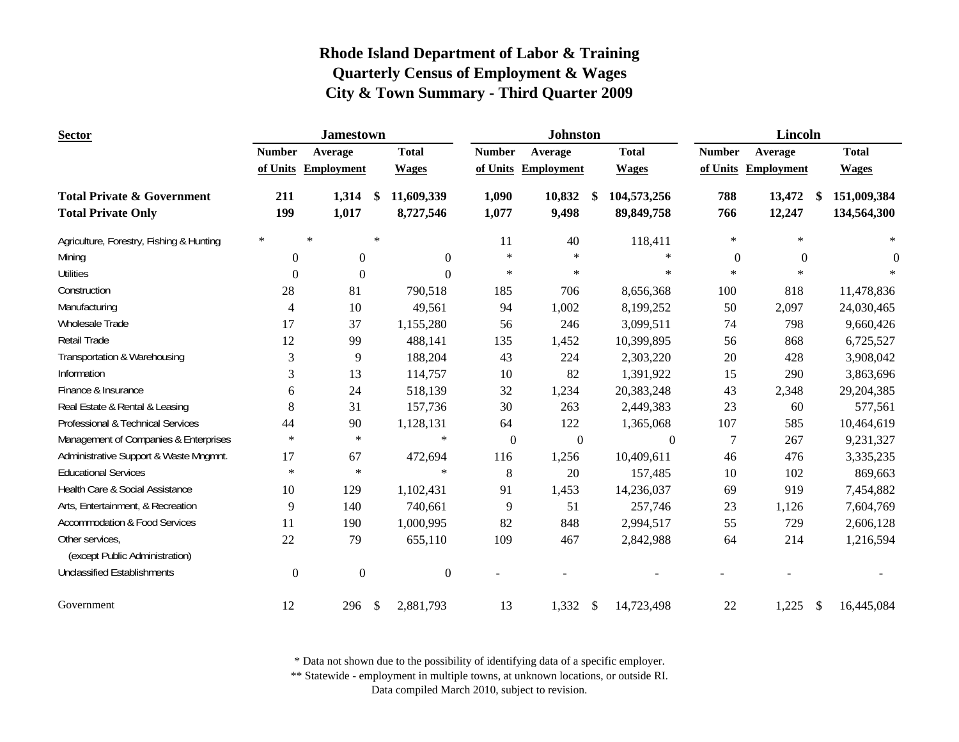| <b>Sector</b>                                                      |                  | <b>Jamestown</b>    |               |                         |                | <b>Johnston</b>     |                           |                             |                | <b>Lincoln</b>         |                            |
|--------------------------------------------------------------------|------------------|---------------------|---------------|-------------------------|----------------|---------------------|---------------------------|-----------------------------|----------------|------------------------|----------------------------|
|                                                                    | <b>Number</b>    | Average             |               | <b>Total</b>            | <b>Number</b>  | Average             |                           | <b>Total</b>                | <b>Number</b>  | Average                | <b>Total</b>               |
|                                                                    |                  | of Units Employment |               | <b>Wages</b>            |                | of Units Employment |                           | <b>Wages</b>                |                | of Units Employment    | <b>Wages</b>               |
| <b>Total Private &amp; Government</b><br><b>Total Private Only</b> | 211<br>199       | 1,314<br>1,017      | -\$           | 11,609,339<br>8,727,546 | 1,090<br>1,077 | 10,832<br>9,498     | -\$                       | 104,573,256<br>89, 849, 758 | 788<br>766     | 13,472<br>\$<br>12,247 | 151,009,384<br>134,564,300 |
| Agriculture, Forestry, Fishing & Hunting                           | $\ast$           | $\ast$              | $\star$       |                         | 11             | 40                  |                           | 118,411                     | $\ast$         | $\ast$                 | $\ast$                     |
| Mining                                                             | $\overline{0}$   | $\mathbf{0}$        |               | $\mathbf{0}$            | $\ast$         | $\ast$              |                           | $\ast$                      | $\overline{0}$ | $\theta$               | $\Omega$                   |
| <b>Utilities</b>                                                   | $\theta$         | $\theta$            |               | $\Omega$                | $\ast$         | $\ast$              |                           | $\ast$                      | $\ast$         | $\ast$                 |                            |
| Construction                                                       | 28               | 81                  |               | 790,518                 | 185            | 706                 |                           | 8,656,368                   | 100            | 818                    | 11,478,836                 |
| Manufacturing                                                      | $\overline{4}$   | 10                  |               | 49,561                  | 94             | 1,002               |                           | 8,199,252                   | 50             | 2,097                  | 24,030,465                 |
| Wholesale Trade                                                    | 17               | 37                  |               | 1,155,280               | 56             | 246                 |                           | 3,099,511                   | 74             | 798                    | 9,660,426                  |
| Retail Trade                                                       | 12               | 99                  |               | 488,141                 | 135            | 1,452               |                           | 10,399,895                  | 56             | 868                    | 6,725,527                  |
| Transportation & Warehousing                                       | 3                | 9                   |               | 188,204                 | 43             | 224                 |                           | 2,303,220                   | 20             | 428                    | 3,908,042                  |
| Information                                                        | 3                | 13                  |               | 114,757                 | 10             | 82                  |                           | 1,391,922                   | 15             | 290                    | 3,863,696                  |
| Finance & Insurance                                                | 6                | 24                  |               | 518,139                 | 32             | 1,234               |                           | 20,383,248                  | 43             | 2,348                  | 29,204,385                 |
| Real Estate & Rental & Leasing                                     | 8                | 31                  |               | 157,736                 | 30             | 263                 |                           | 2,449,383                   | 23             | 60                     | 577,561                    |
| Professional & Technical Services                                  | 44               | 90                  |               | 1,128,131               | 64             | 122                 |                           | 1,365,068                   | 107            | 585                    | 10,464,619                 |
| Management of Companies & Enterprises                              | $\ast$           | $\ast$              |               | $\ast$                  | $\overline{0}$ | $\boldsymbol{0}$    |                           | $\boldsymbol{0}$            | 7              | 267                    | 9,231,327                  |
| Administrative Support & Waste Mngmnt.                             | 17               | 67                  |               | 472,694                 | 116            | 1,256               |                           | 10,409,611                  | 46             | 476                    | 3,335,235                  |
| <b>Educational Services</b>                                        | $\ast$           | $\ast$              |               | $\ast$                  | $8\,$          | 20                  |                           | 157,485                     | 10             | 102                    | 869,663                    |
| Health Care & Social Assistance                                    | 10               | 129                 |               | 1,102,431               | 91             | 1,453               |                           | 14,236,037                  | 69             | 919                    | 7,454,882                  |
| Arts, Entertainment, & Recreation                                  | 9                | 140                 |               | 740,661                 | 9              | 51                  |                           | 257,746                     | 23             | 1,126                  | 7,604,769                  |
| <b>Accommodation &amp; Food Services</b>                           | 11               | 190                 |               | 1,000,995               | 82             | 848                 |                           | 2,994,517                   | 55             | 729                    | 2,606,128                  |
| Other services,<br>(except Public Administration)                  | 22               | 79                  |               | 655,110                 | 109            | 467                 |                           | 2,842,988                   | 64             | 214                    | 1,216,594                  |
| <b>Unclassified Establishments</b>                                 | $\boldsymbol{0}$ | $\boldsymbol{0}$    |               | $\boldsymbol{0}$        |                |                     |                           |                             |                |                        |                            |
| Government                                                         | 12               | 296                 | $\mathcal{S}$ | 2,881,793               | 13             | 1,332               | $\boldsymbol{\mathsf{S}}$ | 14,723,498                  | 22             | 1,225<br>$\mathcal{S}$ | 16,445,084                 |

\* Data not shown due to the possibility of identifying data of a specific employer.

\*\* Statewide - employment in multiple towns, at unknown locations, or outside RI.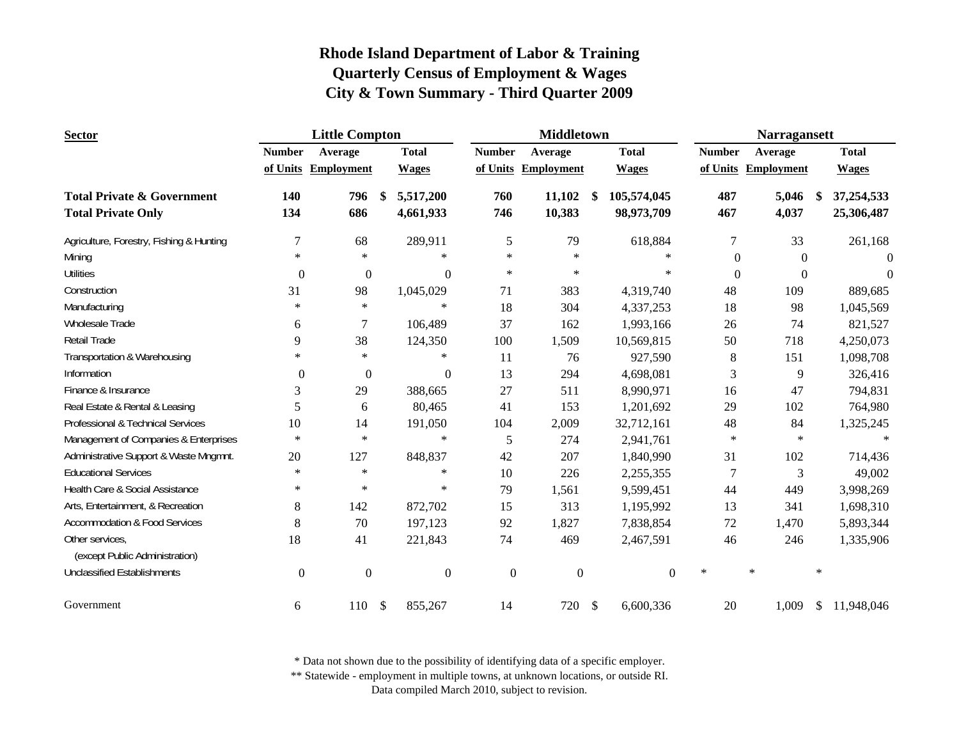| <b>Sector</b>                            | <b>Little Compton</b> |                     | <b>Middletown</b> |                  |                  |                     |               |                | <b>Narragansett</b> |               |        |                     |        |              |
|------------------------------------------|-----------------------|---------------------|-------------------|------------------|------------------|---------------------|---------------|----------------|---------------------|---------------|--------|---------------------|--------|--------------|
|                                          | <b>Number</b>         | Average             |                   | <b>Total</b>     | <b>Number</b>    | Average             |               | <b>Total</b>   |                     | <b>Number</b> |        | Average             |        | <b>Total</b> |
|                                          |                       | of Units Employment |                   | <b>Wages</b>     |                  | of Units Employment |               | <b>Wages</b>   |                     |               |        | of Units Employment |        | <b>Wages</b> |
| <b>Total Private &amp; Government</b>    | 140                   | 796                 | -\$               | 5,517,200        | 760              | 11,102              | -S            | 105,574,045    |                     | 487           |        | 5,046               | - \$   | 37,254,533   |
| <b>Total Private Only</b>                | 134                   | 686                 |                   | 4,661,933        | 746              | 10,383              |               | 98,973,709     |                     | 467           |        | 4,037               |        | 25,306,487   |
| Agriculture, Forestry, Fishing & Hunting | 7                     | 68                  |                   | 289,911          | 5                | 79                  |               | 618,884        |                     | $\tau$        |        | 33                  |        | 261,168      |
| Mining                                   | $\ast$                | $\ast$              |                   | $\ast$           | $\ast$           | $\ast$              |               | $\ast$         |                     | $\Omega$      |        | $\Omega$            |        | $\Omega$     |
| <b>Utilities</b>                         | $\overline{0}$        | $\theta$            |                   | $\mathbf{0}$     | $\ast$           | $\ast$              |               | $\ast$         |                     | $\mathbf{0}$  |        | $\theta$            |        | $\Omega$     |
| Construction                             | 31                    | 98                  |                   | 1,045,029        | 71               | 383                 |               | 4,319,740      |                     | 48            |        | 109                 |        | 889,685      |
| Manufacturing                            | $\ast$                | $\ast$              |                   | $\ast$           | 18               | 304                 |               | 4,337,253      |                     | 18            |        | 98                  |        | 1,045,569    |
| Wholesale Trade                          | 6                     | 7                   |                   | 106,489          | 37               | 162                 |               | 1,993,166      |                     | 26            |        | 74                  |        | 821,527      |
| Retail Trade                             | 9                     | 38                  |                   | 124,350          | 100              | 1,509               |               | 10,569,815     |                     | 50            |        | 718                 |        | 4,250,073    |
| Transportation & Warehousing             | $\ast$                | $\ast$              |                   | $\ast$           | 11               | 76                  |               | 927,590        |                     | 8             |        | 151                 |        | 1,098,708    |
| Information                              | $\theta$              | $\boldsymbol{0}$    |                   | $\boldsymbol{0}$ | 13               | 294                 |               | 4,698,081      |                     | 3             |        | 9                   |        | 326,416      |
| Finance & Insurance                      | 3                     | 29                  |                   | 388,665          | 27               | 511                 |               | 8,990,971      |                     | 16            |        | 47                  |        | 794,831      |
| Real Estate & Rental & Leasing           | 5                     | 6                   |                   | 80,465           | 41               | 153                 |               | 1,201,692      |                     | 29            |        | 102                 |        | 764,980      |
| Professional & Technical Services        | 10                    | 14                  |                   | 191,050          | 104              | 2,009               |               | 32,712,161     |                     | 48            |        | 84                  |        | 1,325,245    |
| Management of Companies & Enterprises    | $\ast$                | $\ast$              |                   | $\ast$           | 5                | 274                 |               | 2,941,761      |                     | $\ast$        |        | $\ast$              |        | $\ast$       |
| Administrative Support & Waste Mngmnt.   | 20                    | 127                 |                   | 848,837          | 42               | 207                 |               | 1,840,990      |                     | 31            |        | 102                 |        | 714,436      |
| <b>Educational Services</b>              | $\ast$                | $\ast$              |                   | $\ast$           | 10               | 226                 |               | 2,255,355      |                     | 7             |        | 3                   |        | 49,002       |
| Health Care & Social Assistance          | $\ast$                | $\ast$              |                   | $\ast$           | 79               | 1,561               |               | 9,599,451      |                     | 44            |        | 449                 |        | 3,998,269    |
| Arts, Entertainment, & Recreation        | 8                     | 142                 |                   | 872,702          | 15               | 313                 |               | 1,195,992      |                     | 13            |        | 341                 |        | 1,698,310    |
| <b>Accommodation &amp; Food Services</b> | 8                     | 70                  |                   | 197,123          | 92               | 1,827               |               | 7,838,854      |                     | 72            |        | 1,470               |        | 5,893,344    |
| Other services,                          | 18                    | 41                  |                   | 221,843          | 74               | 469                 |               | 2,467,591      |                     | 46            |        | 246                 |        | 1,335,906    |
| (except Public Administration)           |                       |                     |                   |                  |                  |                     |               |                |                     |               |        |                     |        |              |
| <b>Unclassified Establishments</b>       | $\mathbf{0}$          | $\mathbf{0}$        |                   | $\boldsymbol{0}$ | $\boldsymbol{0}$ | $\boldsymbol{0}$    |               | $\overline{0}$ | $\ast$              |               | $\ast$ |                     | $\ast$ |              |
| Government                               | 6                     | 110                 | $\mathcal{S}$     | 855,267          | 14               | 720                 | $\mathcal{S}$ | 6,600,336      |                     | 20            |        | 1,009               | \$     | 11,948,046   |

\* Data not shown due to the possibility of identifying data of a specific employer.

\*\* Statewide - employment in multiple towns, at unknown locations, or outside RI.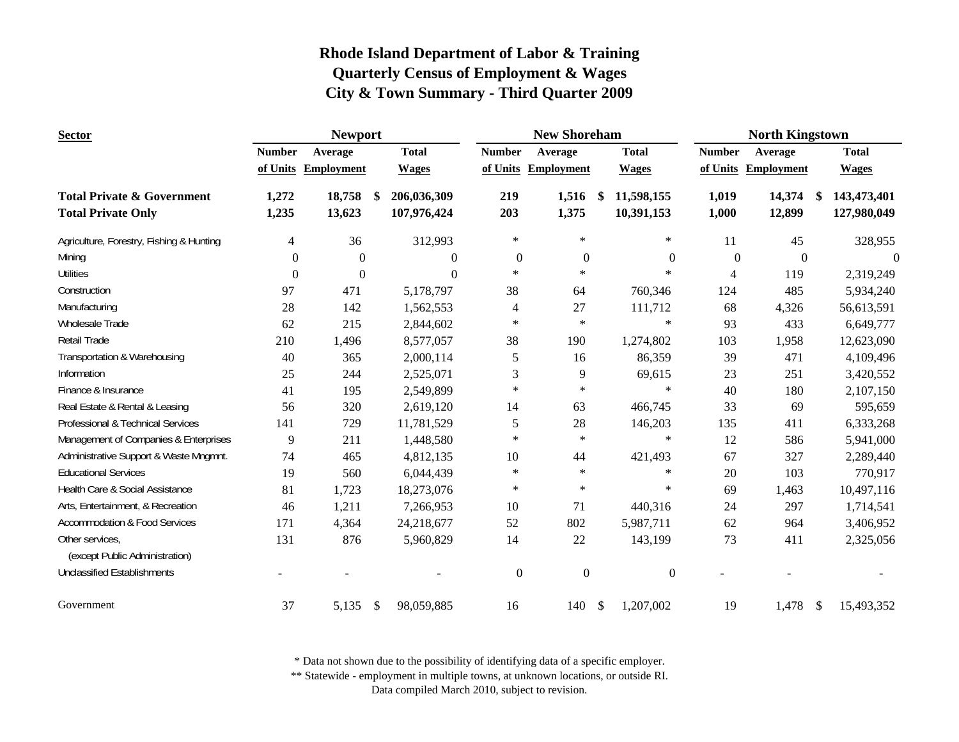| <b>Sector</b>                                     |                | <b>Newport</b>      |               |                  |               | <b>New Shoreham</b> |               |                  |                  | <b>North Kingstown</b> |               |                |
|---------------------------------------------------|----------------|---------------------|---------------|------------------|---------------|---------------------|---------------|------------------|------------------|------------------------|---------------|----------------|
|                                                   | <b>Number</b>  | Average             |               | <b>Total</b>     | <b>Number</b> | Average             |               | <b>Total</b>     | <b>Number</b>    | Average                |               | <b>Total</b>   |
|                                                   |                | of Units Employment |               | <b>Wages</b>     |               | of Units Employment |               | <b>Wages</b>     |                  | of Units Employment    |               | <b>Wages</b>   |
| <b>Total Private &amp; Government</b>             | 1,272          | 18,758              | -S            | 206,036,309      | 219           | 1,516               | \$            | 11,598,155       | 1,019            | 14,374                 | S.            | 143,473,401    |
| <b>Total Private Only</b>                         | 1,235          | 13,623              |               | 107,976,424      | 203           | 1,375               |               | 10,391,153       | 1,000            | 12,899                 |               | 127,980,049    |
| Agriculture, Forestry, Fishing & Hunting          | 4              | 36                  |               | 312,993          | $\ast$        | $\ast$              |               | $\ast$           | 11               | 45                     |               | 328,955        |
| Mining                                            | $\overline{0}$ | $\overline{0}$      |               | $\boldsymbol{0}$ | $\mathbf{0}$  | $\mathbf{0}$        |               | $\boldsymbol{0}$ | $\boldsymbol{0}$ | $\boldsymbol{0}$       |               | $\overline{0}$ |
| <b>Utilities</b>                                  | $\theta$       | $\theta$            |               | $\theta$         | $\ast$        | $\ast$              |               | $\ast$           | 4                | 119                    |               | 2,319,249      |
| Construction                                      | 97             | 471                 |               | 5,178,797        | 38            | 64                  |               | 760,346          | 124              | 485                    |               | 5,934,240      |
| Manufacturing                                     | 28             | 142                 |               | 1,562,553        | 4             | 27                  |               | 111,712          | 68               | 4,326                  |               | 56,613,591     |
| Wholesale Trade                                   | 62             | 215                 |               | 2,844,602        | $\ast$        | $\ast$              |               | $\ast$           | 93               | 433                    |               | 6,649,777      |
| Retail Trade                                      | 210            | 1,496               |               | 8,577,057        | 38            | 190                 |               | 1,274,802        | 103              | 1,958                  |               | 12,623,090     |
| Transportation & Warehousing                      | 40             | 365                 |               | 2,000,114        | 5             | 16                  |               | 86,359           | 39               | 471                    |               | 4,109,496      |
| Information                                       | 25             | 244                 |               | 2,525,071        | 3             | 9                   |               | 69,615           | 23               | 251                    |               | 3,420,552      |
| Finance & Insurance                               | 41             | 195                 |               | 2,549,899        | $\ast$        | $\ast$              |               | $\ast$           | 40               | 180                    |               | 2,107,150      |
| Real Estate & Rental & Leasing                    | 56             | 320                 |               | 2,619,120        | 14            | 63                  |               | 466,745          | 33               | 69                     |               | 595,659        |
| Professional & Technical Services                 | 141            | 729                 |               | 11,781,529       | 5             | 28                  |               | 146,203          | 135              | 411                    |               | 6,333,268      |
| Management of Companies & Enterprises             | 9              | 211                 |               | 1,448,580        | $\ast$        | $\ast$              |               | $\ast$           | 12               | 586                    |               | 5,941,000      |
| Administrative Support & Waste Mngmnt.            | 74             | 465                 |               | 4,812,135        | 10            | 44                  |               | 421,493          | 67               | 327                    |               | 2,289,440      |
| <b>Educational Services</b>                       | 19             | 560                 |               | 6,044,439        | $\ast$        | $\ast$              |               | $\ast$           | 20               | 103                    |               | 770,917        |
| Health Care & Social Assistance                   | 81             | 1,723               |               | 18,273,076       | $\ast$        | $\ast$              |               | $\ast$           | 69               | 1,463                  |               | 10,497,116     |
| Arts, Entertainment, & Recreation                 | 46             | 1,211               |               | 7,266,953        | 10            | 71                  |               | 440,316          | 24               | 297                    |               | 1,714,541      |
| <b>Accommodation &amp; Food Services</b>          | 171            | 4,364               |               | 24,218,677       | 52            | 802                 |               | 5,987,711        | 62               | 964                    |               | 3,406,952      |
| Other services,<br>(except Public Administration) | 131            | 876                 |               | 5,960,829        | 14            | 22                  |               | 143,199          | 73               | 411                    |               | 2,325,056      |
| <b>Unclassified Establishments</b>                |                |                     |               |                  | $\mathbf{0}$  | $\mathbf{0}$        |               | $\boldsymbol{0}$ |                  |                        |               |                |
| Government                                        | 37             | 5,135               | $\mathcal{S}$ | 98,059,885       | 16            | 140                 | $\mathcal{S}$ | 1,207,002        | 19               | 1,478                  | $\mathcal{S}$ | 15,493,352     |

\* Data not shown due to the possibility of identifying data of a specific employer.

\*\* Statewide - employment in multiple towns, at unknown locations, or outside RI.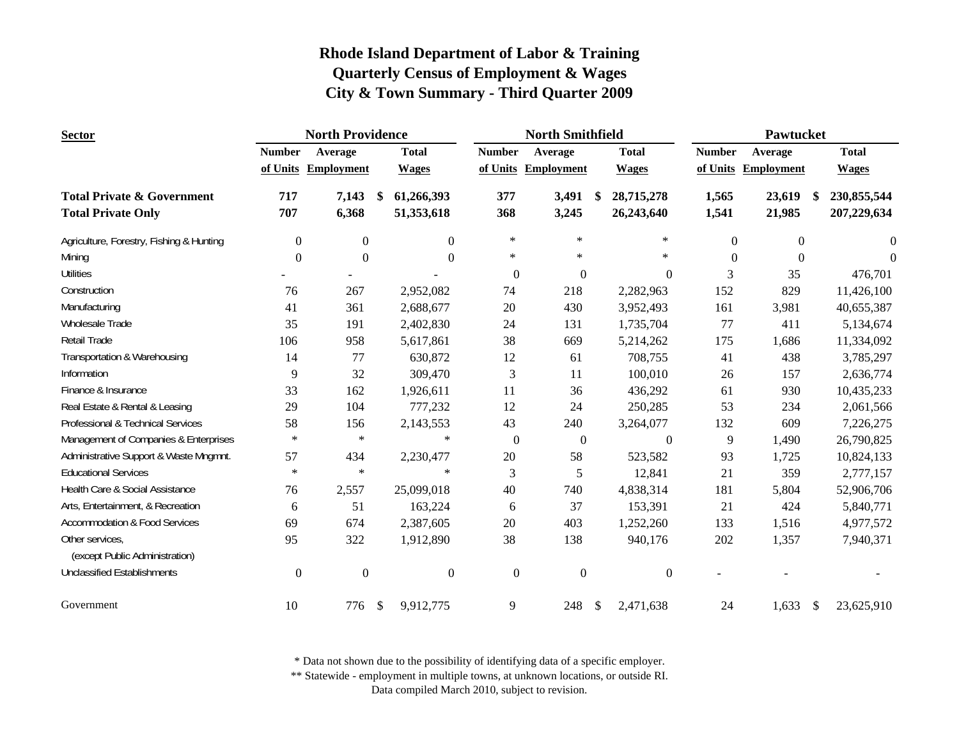| <b>Sector</b>                                     |                  | <b>North Providence</b> |                           |              |                | <b>North Smithfield</b> |                  |                | Pawtucket         |                   |
|---------------------------------------------------|------------------|-------------------------|---------------------------|--------------|----------------|-------------------------|------------------|----------------|-------------------|-------------------|
|                                                   | <b>Number</b>    | Average                 |                           | <b>Total</b> | <b>Number</b>  | Average                 | <b>Total</b>     | <b>Number</b>  | Average           | <b>Total</b>      |
|                                                   |                  | of Units Employment     |                           | <b>Wages</b> |                | of Units Employment     | <b>Wages</b>     | of Units       | <b>Employment</b> | <b>Wages</b>      |
| <b>Total Private &amp; Government</b>             | 717              | 7,143                   | $\boldsymbol{\mathsf{s}}$ | 61,266,393   | 377            | 3,491                   | \$<br>28,715,278 | 1,565          | 23,619            | \$<br>230,855,544 |
| <b>Total Private Only</b>                         | 707              | 6,368                   |                           | 51,353,618   | 368            | 3,245                   | 26,243,640       | 1,541          | 21,985            | 207,229,634       |
| Agriculture, Forestry, Fishing & Hunting          | $\overline{0}$   | $\boldsymbol{0}$        |                           | $\Omega$     | $\ast$         | $\ast$                  | $\ast$           | $\overline{0}$ | $\boldsymbol{0}$  | $\theta$          |
| Mining                                            | $\Omega$         | $\Omega$                |                           | $\Omega$     | $\ast$         | $\ast$                  | $\ast$           | $\Omega$       | $\theta$          | $\Omega$          |
| <b>Utilities</b>                                  |                  |                         |                           |              | $\overline{0}$ | $\mathbf{0}$            | $\mathbf{0}$     | 3              | 35                | 476,701           |
| Construction                                      | 76               | 267                     |                           | 2,952,082    | 74             | 218                     | 2,282,963        | 152            | 829               | 11,426,100        |
| Manufacturing                                     | 41               | 361                     |                           | 2,688,677    | $20\,$         | 430                     | 3,952,493        | 161            | 3,981             | 40,655,387        |
| Wholesale Trade                                   | 35               | 191                     |                           | 2,402,830    | 24             | 131                     | 1,735,704        | 77             | 411               | 5,134,674         |
| Retail Trade                                      | 106              | 958                     |                           | 5,617,861    | 38             | 669                     | 5,214,262        | 175            | 1,686             | 11,334,092        |
| Transportation & Warehousing                      | 14               | 77                      |                           | 630,872      | 12             | 61                      | 708,755          | 41             | 438               | 3,785,297         |
| Information                                       | 9                | 32                      |                           | 309,470      | $\mathfrak{Z}$ | 11                      | 100,010          | 26             | 157               | 2,636,774         |
| Finance & Insurance                               | 33               | 162                     |                           | 1,926,611    | 11             | 36                      | 436,292          | 61             | 930               | 10,435,233        |
| Real Estate & Rental & Leasing                    | 29               | 104                     |                           | 777,232      | 12             | 24                      | 250,285          | 53             | 234               | 2,061,566         |
| Professional & Technical Services                 | 58               | 156                     |                           | 2,143,553    | 43             | 240                     | 3,264,077        | 132            | 609               | 7,226,275         |
| Management of Companies & Enterprises             | $\ast$           | $\ast$                  |                           | $\ast$       | $\mathbf{0}$   | $\boldsymbol{0}$        | $\boldsymbol{0}$ | 9              | 1,490             | 26,790,825        |
| Administrative Support & Waste Mngmnt.            | 57               | 434                     |                           | 2,230,477    | 20             | 58                      | 523,582          | 93             | 1,725             | 10,824,133        |
| <b>Educational Services</b>                       | $\ast$           | $\ast$                  |                           | $\ast$       | 3              | 5                       | 12,841           | 21             | 359               | 2,777,157         |
| Health Care & Social Assistance                   | 76               | 2,557                   |                           | 25,099,018   | 40             | 740                     | 4,838,314        | 181            | 5,804             | 52,906,706        |
| Arts, Entertainment, & Recreation                 | 6                | 51                      |                           | 163,224      | 6              | 37                      | 153,391          | 21             | 424               | 5,840,771         |
| <b>Accommodation &amp; Food Services</b>          | 69               | 674                     |                           | 2,387,605    | 20             | 403                     | 1,252,260        | 133            | 1,516             | 4,977,572         |
| Other services,<br>(except Public Administration) | 95               | 322                     |                           | 1,912,890    | 38             | 138                     | 940,176          | 202            | 1,357             | 7,940,371         |
| <b>Unclassified Establishments</b>                | $\boldsymbol{0}$ | $\boldsymbol{0}$        |                           | $\mathbf{0}$ | $\mathbf{0}$   | $\mathbf{0}$            | $\boldsymbol{0}$ |                |                   |                   |
| Government                                        | 10               | 776                     | -\$                       | 9,912,775    | 9              | 248                     | \$<br>2,471,638  | 24             | 1,633             | \$<br>23,625,910  |

\* Data not shown due to the possibility of identifying data of a specific employer.

\*\* Statewide - employment in multiple towns, at unknown locations, or outside RI.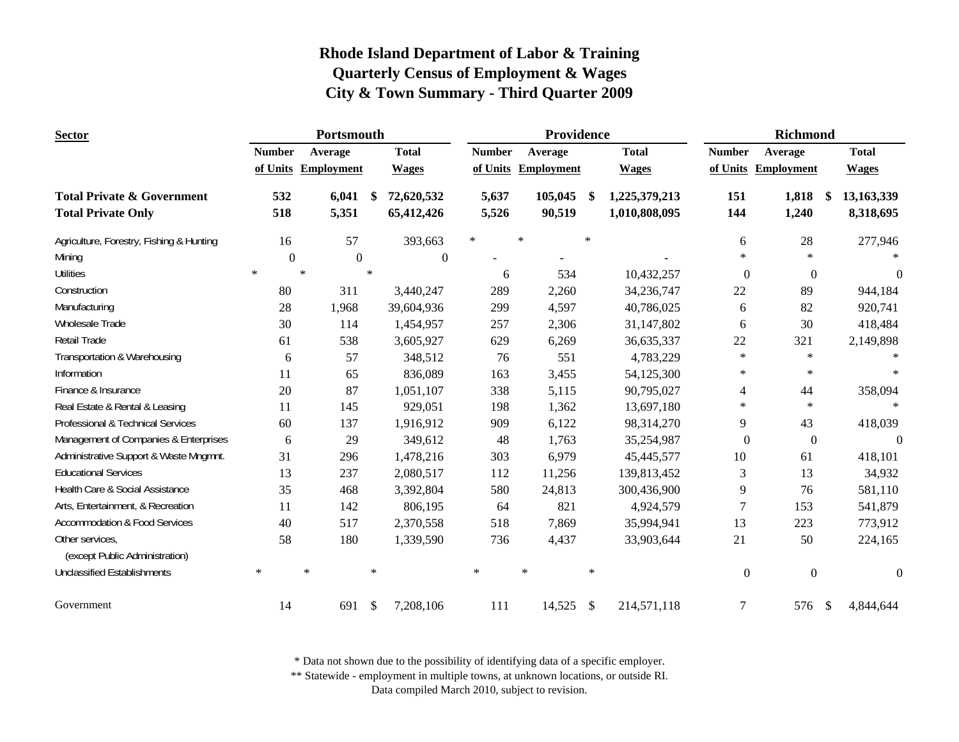| <b>Sector</b>                                     |               | Portsmouth          |                           |                  |               | Providence |               |               |                  | Richmond             |              |
|---------------------------------------------------|---------------|---------------------|---------------------------|------------------|---------------|------------|---------------|---------------|------------------|----------------------|--------------|
|                                                   | <b>Number</b> | Average             |                           | <b>Total</b>     | <b>Number</b> | Average    |               | <b>Total</b>  | <b>Number</b>    | Average              | <b>Total</b> |
|                                                   |               | of Units Employment |                           | <b>Wages</b>     | of Units      | Employment |               | <b>Wages</b>  |                  | of Units Employment  | <b>Wages</b> |
| <b>Total Private &amp; Government</b>             | 532           | 6,041               | \$                        | 72,620,532       | 5,637         | 105,045    | \$            | 1,225,379,213 | 151              | 1,818<br>-\$         | 13,163,339   |
| <b>Total Private Only</b>                         | 518           | 5,351               |                           | 65,412,426       | 5,526         | 90,519     |               | 1,010,808,095 | 144              | 1,240                | 8,318,695    |
| Agriculture, Forestry, Fishing & Hunting          | 16            |                     | 57                        | 393,663          | $\ast$        | $\ast$     | $\ast$        |               | 6                | 28                   | 277,946      |
| Mining                                            | $\Omega$      |                     | $\theta$                  | $\boldsymbol{0}$ |               |            |               |               | $\ast$           | $\ast$               |              |
| <b>Utilities</b>                                  | $\ast$        |                     | $\ast$                    |                  | 6             | 534        |               | 10,432,257    | $\mathbf{0}$     | $\overline{0}$       | $\Omega$     |
| Construction                                      | 80            | 311                 |                           | 3,440,247        | 289           | 2,260      |               | 34,236,747    | 22               | 89                   | 944,184      |
| Manufacturing                                     | 28            | 1,968               |                           | 39,604,936       | 299           | 4,597      |               | 40,786,025    | 6                | 82                   | 920,741      |
| Wholesale Trade                                   | 30            | 114                 |                           | 1,454,957        | 257           | 2,306      |               | 31,147,802    | 6                | 30                   | 418,484      |
| <b>Retail Trade</b>                               | 61            | 538                 |                           | 3,605,927        | 629           | 6,269      |               | 36,635,337    | $22\,$           | 321                  | 2,149,898    |
| Transportation & Warehousing                      | 6             |                     | 57                        | 348,512          | 76            | 551        |               | 4,783,229     | $\ast$           | $\ast$               |              |
| Information                                       | 11            |                     | 65                        | 836,089          | 163           | 3,455      |               | 54,125,300    | $\ast$           | $\ast$               | $\star$      |
| Finance & Insurance                               | 20            |                     | 87                        | 1,051,107        | 338           | 5,115      |               | 90,795,027    | $\overline{4}$   | 44                   | 358,094      |
| Real Estate & Rental & Leasing                    | 11            | 145                 |                           | 929,051          | 198           | 1,362      |               | 13,697,180    | $\ast$           | $\ast$               | $\ast$       |
| Professional & Technical Services                 | 60            | 137                 |                           | 1,916,912        | 909           | 6,122      |               | 98,314,270    | 9                | 43                   | 418,039      |
| Management of Companies & Enterprises             | 6             |                     | 29                        | 349,612          | 48            | 1,763      |               | 35,254,987    | $\boldsymbol{0}$ | $\mathbf{0}$         | $\theta$     |
| Administrative Support & Waste Mngmnt.            | 31            | 296                 |                           | 1,478,216        | 303           | 6,979      |               | 45,445,577    | 10               | 61                   | 418,101      |
| <b>Educational Services</b>                       | 13            | 237                 |                           | 2,080,517        | 112           | 11,256     |               | 139,813,452   | $\mathfrak{Z}$   | 13                   | 34,932       |
| Health Care & Social Assistance                   | 35            | 468                 |                           | 3,392,804        | 580           | 24,813     |               | 300,436,900   | 9                | 76                   | 581,110      |
| Arts, Entertainment, & Recreation                 | 11            | 142                 |                           | 806,195          | 64            | 821        |               | 4,924,579     | $\overline{7}$   | 153                  | 541,879      |
| <b>Accommodation &amp; Food Services</b>          | 40            | 517                 |                           | 2,370,558        | 518           | 7,869      |               | 35,994,941    | 13               | 223                  | 773,912      |
| Other services,<br>(except Public Administration) | 58            | 180                 |                           | 1,339,590        | 736           | 4,437      |               | 33,903,644    | 21               | 50                   | 224,165      |
| <b>Unclassified Establishments</b>                | $\ast$        | $\ast$              | $\ast$                    |                  | $\ast$        | $\ast$     | $\ast$        |               | $\boldsymbol{0}$ | $\boldsymbol{0}$     | $\mathbf{0}$ |
| Government                                        | 14            | 691                 | $\boldsymbol{\mathsf{S}}$ | 7,208,106        | 111           | 14,525     | $\mathcal{S}$ | 214,571,118   | 7                | 576<br>$\mathcal{S}$ | 4,844,644    |

\* Data not shown due to the possibility of identifying data of a specific employer.

\*\* Statewide - employment in multiple towns, at unknown locations, or outside RI.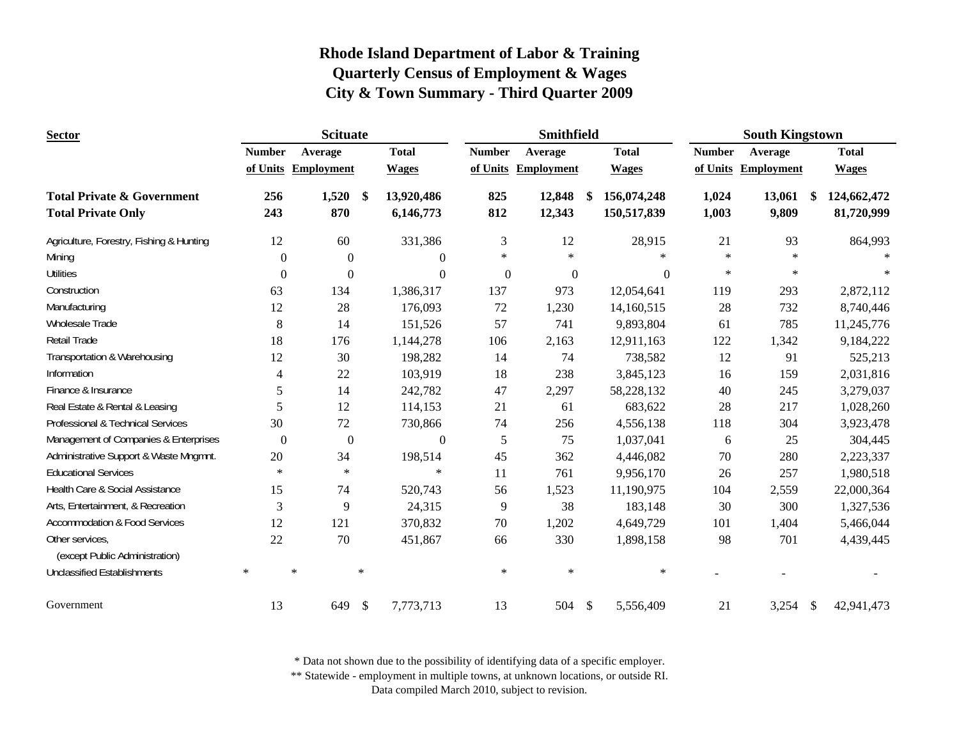| <b>Sector</b>                                     |               | <b>Scituate</b>     |                            |               | Smithfield          |                    |               | <b>South Kingstown</b> |                            |
|---------------------------------------------------|---------------|---------------------|----------------------------|---------------|---------------------|--------------------|---------------|------------------------|----------------------------|
|                                                   | <b>Number</b> | Average             | <b>Total</b>               | <b>Number</b> | Average             | <b>Total</b>       | <b>Number</b> | Average                | <b>Total</b>               |
|                                                   |               | of Units Employment | <b>Wages</b>               |               | of Units Employment | <b>Wages</b>       |               | of Units Employment    | <b>Wages</b>               |
| <b>Total Private &amp; Government</b>             | 256           | 1,520               | 13,920,486<br>-SS          | 825           | 12,848              | 156,074,248<br>-\$ | 1,024         | 13,061                 | 124,662,472<br>\$          |
| <b>Total Private Only</b>                         | 243           | 870                 | 6,146,773                  | 812           | 12,343              | 150,517,839        | 1,003         | 9,809                  | 81,720,999                 |
| Agriculture, Forestry, Fishing & Hunting          | 12            | 60                  | 331,386                    | 3             | 12                  | 28,915             | 21            | 93                     | 864,993                    |
| Mining                                            | $\theta$      | $\overline{0}$      | $\overline{0}$             | $\ast$        | $\ast$              | $\star$            | $\ast$        | $\ast$                 |                            |
| <b>Utilities</b>                                  | $\theta$      | $\theta$            | $\Omega$                   | $\Omega$      | $\mathbf{0}$        | $\theta$           | $\ast$        | $\ast$                 |                            |
| Construction                                      | 63            | 134                 | 1,386,317                  | 137           | 973                 | 12,054,641         | 119           | 293                    | 2,872,112                  |
| Manufacturing                                     | 12            | 28                  | 176,093                    | 72            | 1,230               | 14,160,515         | 28            | 732                    | 8,740,446                  |
| Wholesale Trade                                   | $8\,$         | 14                  | 151,526                    | 57            | 741                 | 9,893,804          | 61            | 785                    | 11,245,776                 |
| Retail Trade                                      | 18            | 176                 | 1,144,278                  | 106           | 2,163               | 12,911,163         | 122           | 1,342                  | 9,184,222                  |
| Transportation & Warehousing                      | 12            | 30                  | 198,282                    | 14            | 74                  | 738,582            | 12            | 91                     | 525,213                    |
| Information                                       | 4             | 22                  | 103,919                    | 18            | 238                 | 3,845,123          | 16            | 159                    | 2,031,816                  |
| Finance & Insurance                               | 5             | 14                  | 242,782                    | 47            | 2,297               | 58,228,132         | 40            | 245                    | 3,279,037                  |
| Real Estate & Rental & Leasing                    | 5             | 12                  | 114,153                    | 21            | 61                  | 683,622            | 28            | 217                    | 1,028,260                  |
| Professional & Technical Services                 | 30            | 72                  | 730,866                    | 74            | 256                 | 4,556,138          | 118           | 304                    | 3,923,478                  |
| Management of Companies & Enterprises             | $\theta$      | $\overline{0}$      | $\mathbf{0}$               | 5             | 75                  | 1,037,041          | 6             | 25                     | 304,445                    |
| Administrative Support & Waste Mngmnt.            | 20            | 34                  | 198,514                    | 45            | 362                 | 4,446,082          | 70            | 280                    | 2,223,337                  |
| <b>Educational Services</b>                       | $\ast$        | $\ast$              | $\ast$                     | 11            | 761                 | 9,956,170          | 26            | 257                    | 1,980,518                  |
| Health Care & Social Assistance                   | 15            | 74                  | 520,743                    | 56            | 1,523               | 11,190,975         | 104           | 2,559                  | 22,000,364                 |
| Arts, Entertainment, & Recreation                 | 3             | 9                   | 24,315                     | 9             | 38                  | 183,148            | 30            | 300                    | 1,327,536                  |
| <b>Accommodation &amp; Food Services</b>          | 12            | 121                 | 370,832                    | 70            | 1,202               | 4,649,729          | 101           | 1,404                  | 5,466,044                  |
| Other services,<br>(except Public Administration) | 22            | 70                  | 451,867                    | 66            | 330                 | 1,898,158          | 98            | 701                    | 4,439,445                  |
| <b>Unclassified Establishments</b>                | $\ast$        | $\ast$              | $\ast$                     | $\ast$        | $\ast$              | $\ast$             |               |                        |                            |
| Government                                        | 13            | 649                 | $\mathcal{S}$<br>7,773,713 | 13            | 504                 | \$<br>5,556,409    | 21            | 3,254                  | $\mathbb{S}$<br>42,941,473 |

\* Data not shown due to the possibility of identifying data of a specific employer.

\*\* Statewide - employment in multiple towns, at unknown locations, or outside RI.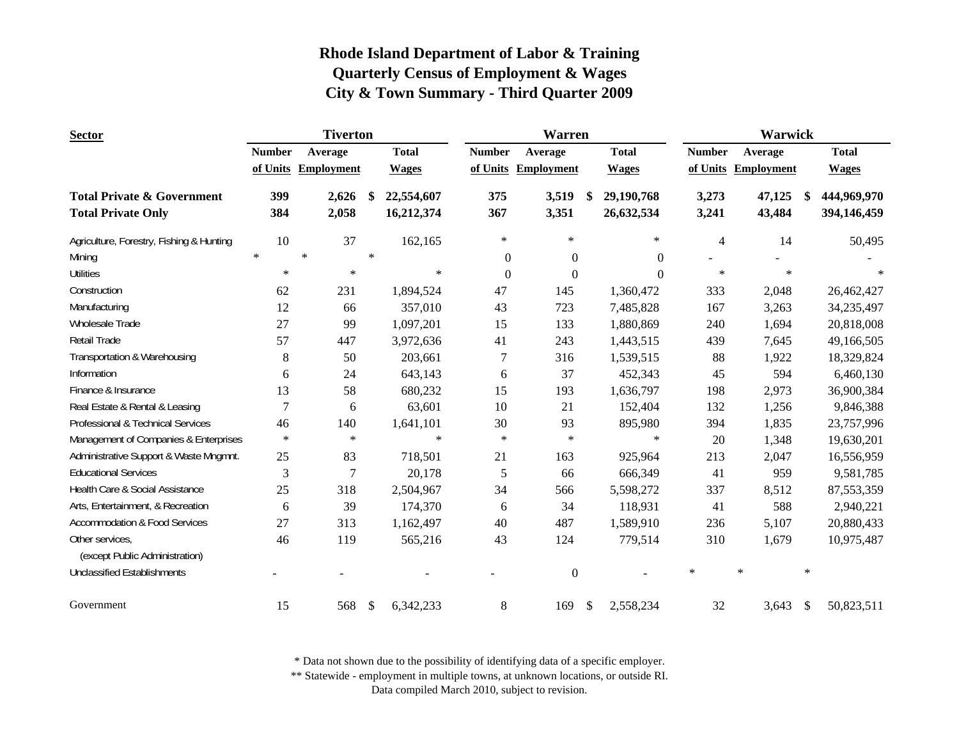| <b>Sector</b>                                                      |                | <b>Tiverton</b>   |                           |                          | <b>Warren</b>    |                   |                                |                | Warwick |                   |               |                            |
|--------------------------------------------------------------------|----------------|-------------------|---------------------------|--------------------------|------------------|-------------------|--------------------------------|----------------|---------|-------------------|---------------|----------------------------|
|                                                                    | <b>Number</b>  | Average           |                           | <b>Total</b>             | <b>Number</b>    | Average           | <b>Total</b>                   | <b>Number</b>  |         | Average           |               | <b>Total</b>               |
|                                                                    | of Units       | <b>Employment</b> |                           | <b>Wages</b>             | of Units         | <b>Employment</b> | <b>Wages</b>                   | of Units       |         | <b>Employment</b> |               | <b>Wages</b>               |
| <b>Total Private &amp; Government</b><br><b>Total Private Only</b> | 399<br>384     | 2,626<br>2,058    | \$                        | 22,554,607<br>16,212,374 | 375<br>367       | 3,519<br>3,351    | \$<br>29,190,768<br>26,632,534 | 3,273<br>3,241 |         | 47,125<br>43,484  | <sup>\$</sup> | 444,969,970<br>394,146,459 |
| Agriculture, Forestry, Fishing & Hunting                           | 10             | 37                |                           | 162,165                  | $\ast$           | $\ast$            | $\ast$                         | $\overline{4}$ |         | 14                |               | 50,495                     |
| Mining                                                             | $\ast$         | $\ast$            | $\ast$                    |                          | $\theta$         | $\overline{0}$    | $\overline{0}$                 |                |         |                   |               |                            |
| <b>Utilities</b>                                                   | $\ast$         | $\ast$            |                           | $\ast$                   | $\boldsymbol{0}$ | $\mathbf{0}$      | $\Omega$                       | $\ast$         |         | $\ast$            |               |                            |
| Construction                                                       | 62             | 231               |                           | 1,894,524                | 47               | 145               | 1,360,472                      | 333            |         | 2,048             |               | 26,462,427                 |
| Manufacturing                                                      | 12             | 66                |                           | 357,010                  | 43               | 723               | 7,485,828                      | 167            |         | 3,263             |               | 34,235,497                 |
| Wholesale Trade                                                    | 27             | 99                |                           | 1,097,201                | 15               | 133               | 1,880,869                      | 240            |         | 1,694             |               | 20,818,008                 |
| <b>Retail Trade</b>                                                | 57             | 447               |                           | 3,972,636                | 41               | 243               | 1,443,515                      | 439            |         | 7,645             |               | 49,166,505                 |
| Transportation & Warehousing                                       | 8              | 50                |                           | 203,661                  | 7                | 316               | 1,539,515                      | 88             |         | 1,922             |               | 18,329,824                 |
| Information                                                        | 6              | 24                |                           | 643,143                  | 6                | 37                | 452,343                        | 45             |         | 594               |               | 6,460,130                  |
| Finance & Insurance                                                | 13             | 58                |                           | 680,232                  | 15               | 193               | 1,636,797                      | 198            |         | 2,973             |               | 36,900,384                 |
| Real Estate & Rental & Leasing                                     | $\overline{7}$ | 6                 |                           | 63,601                   | 10               | 21                | 152,404                        | 132            |         | 1,256             |               | 9,846,388                  |
| Professional & Technical Services                                  | 46             | 140               |                           | 1,641,101                | 30               | 93                | 895,980                        | 394            |         | 1,835             |               | 23,757,996                 |
| Management of Companies & Enterprises                              | $\star$        | $\ast$            |                           | $\ast$                   | $\ast$           | $\ast$            | $\ast$                         | 20             |         | 1,348             |               | 19,630,201                 |
| Administrative Support & Waste Mngmnt.                             | 25             | 83                |                           | 718,501                  | 21               | 163               | 925,964                        | 213            |         | 2,047             |               | 16,556,959                 |
| <b>Educational Services</b>                                        | 3              | 7                 |                           | 20,178                   | 5                | 66                | 666,349                        | 41             |         | 959               |               | 9,581,785                  |
| Health Care & Social Assistance                                    | 25             | 318               |                           | 2,504,967                | 34               | 566               | 5,598,272                      | 337            |         | 8,512             |               | 87,553,359                 |
| Arts, Entertainment, & Recreation                                  | 6              | 39                |                           | 174,370                  | 6                | 34                | 118,931                        | 41             |         | 588               |               | 2,940,221                  |
| <b>Accommodation &amp; Food Services</b>                           | 27             | 313               |                           | 1,162,497                | 40               | 487               | 1,589,910                      | 236            |         | 5,107             |               | 20,880,433                 |
| Other services,<br>(except Public Administration)                  | 46             | 119               |                           | 565,216                  | 43               | 124               | 779,514                        | 310            |         | 1,679             |               | 10,975,487                 |
| <b>Unclassified Establishments</b>                                 |                |                   |                           |                          |                  | $\mathbf{0}$      |                                | $\ast$         | $\ast$  |                   | $\ast$        |                            |
| Government                                                         | 15             | 568               | $\boldsymbol{\mathsf{S}}$ | 6,342,233                | 8                | 169               | \$<br>2,558,234                | 32             |         | 3,643             | $\mathcal{S}$ | 50,823,511                 |

\* Data not shown due to the possibility of identifying data of a specific employer.

\*\* Statewide - employment in multiple towns, at unknown locations, or outside RI.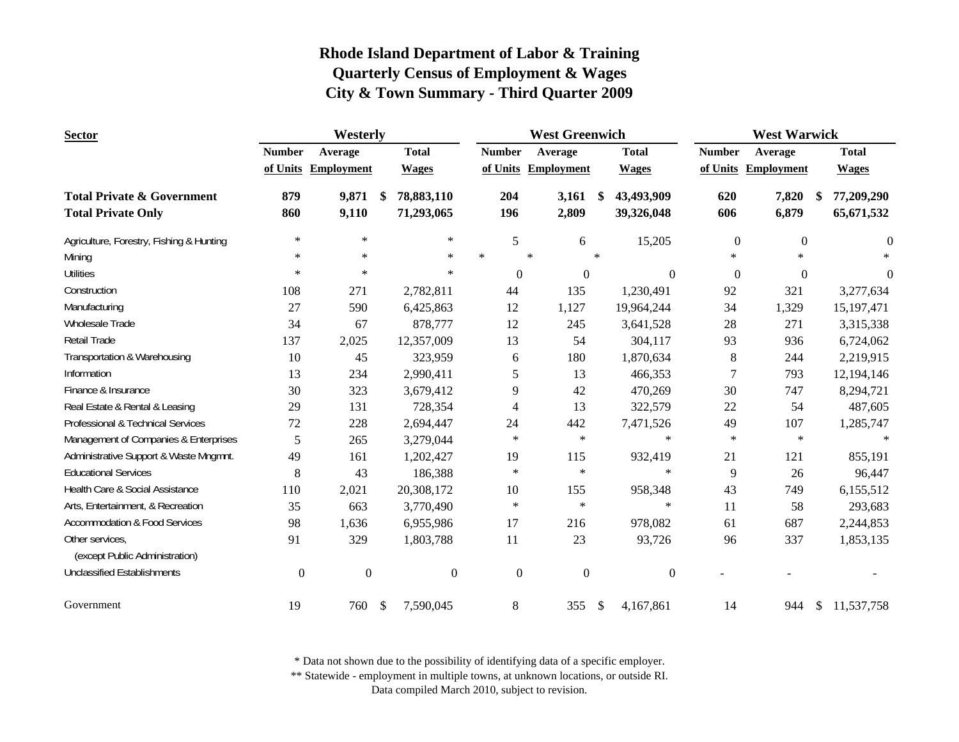| <b>Sector</b>                                                      |               | Westerly          |      |                          | <b>West Greenwich</b> |                     |        | <b>West Warwick</b>      |                  |                     |    |                            |
|--------------------------------------------------------------------|---------------|-------------------|------|--------------------------|-----------------------|---------------------|--------|--------------------------|------------------|---------------------|----|----------------------------|
|                                                                    | <b>Number</b> | Average           |      | <b>Total</b>             | <b>Number</b>         | Average             |        | <b>Total</b>             | <b>Number</b>    | Average             |    | <b>Total</b>               |
|                                                                    | of Units      | <b>Employment</b> |      | <b>Wages</b>             |                       | of Units Employment |        | <b>Wages</b>             |                  | of Units Employment |    | <b>Wages</b>               |
| <b>Total Private &amp; Government</b><br><b>Total Private Only</b> | 879<br>860    | 9,871<br>9,110    | - \$ | 78,883,110<br>71,293,065 | 204<br>196            | 3,161<br>2,809      | \$.    | 43,493,909<br>39,326,048 | 620<br>606       | 7,820<br>6,879      | -S | 77,209,290<br>65, 671, 532 |
| Agriculture, Forestry, Fishing & Hunting                           | $\ast$        | $\ast$            |      | $\star$                  | 5                     | 6                   |        | 15,205                   | $\boldsymbol{0}$ | $\mathbf{0}$        |    | $\overline{0}$             |
| Mining                                                             | $\ast$        | $\star$           |      | $\star$                  | $\ast$                | $\star$             | $\ast$ |                          | $\ast$           | $\star$             |    |                            |
| <b>Utilities</b>                                                   | $\ast$        | $\ast$            |      | $\ast$                   | $\Omega$              | $\mathbf{0}$        |        | $\overline{0}$           | $\boldsymbol{0}$ | $\mathbf{0}$        |    | $\theta$                   |
| Construction                                                       | 108           | 271               |      | 2,782,811                | 44                    | 135                 |        | 1,230,491                | 92               | 321                 |    | 3,277,634                  |
| Manufacturing                                                      | 27            | 590               |      | 6,425,863                | 12                    | 1,127               |        | 19,964,244               | 34               | 1,329               |    | 15,197,471                 |
| Wholesale Trade                                                    | 34            | 67                |      | 878,777                  | 12                    | 245                 |        | 3,641,528                | 28               | 271                 |    | 3,315,338                  |
| Retail Trade                                                       | 137           | 2,025             |      | 12,357,009               | 13                    | 54                  |        | 304,117                  | 93               | 936                 |    | 6,724,062                  |
| Transportation & Warehousing                                       | 10            | 45                |      | 323,959                  | 6                     | 180                 |        | 1,870,634                | $8\,$            | 244                 |    | 2,219,915                  |
| Information                                                        | 13            | 234               |      | 2,990,411                | 5                     | 13                  |        | 466,353                  | 7                | 793                 |    | 12,194,146                 |
| Finance & Insurance                                                | 30            | 323               |      | 3,679,412                | 9                     | 42                  |        | 470,269                  | 30               | 747                 |    | 8,294,721                  |
| Real Estate & Rental & Leasing                                     | 29            | 131               |      | 728,354                  | 4                     | 13                  |        | 322,579                  | 22               | 54                  |    | 487,605                    |
| Professional & Technical Services                                  | 72            | 228               |      | 2,694,447                | 24                    | 442                 |        | 7,471,526                | 49               | 107                 |    | 1,285,747                  |
| Management of Companies & Enterprises                              | 5             | 265               |      | 3,279,044                | $\ast$                | $\ast$              |        | $\ast$                   | $\ast$           | $\ast$              |    | $\ast$                     |
| Administrative Support & Waste Mngmnt.                             | 49            | 161               |      | 1,202,427                | 19                    | 115                 |        | 932,419                  | 21               | 121                 |    | 855,191                    |
| <b>Educational Services</b>                                        | 8             | 43                |      | 186,388                  | $\ast$                | $\ast$              |        | $\ast$                   | 9                | 26                  |    | 96,447                     |
| Health Care & Social Assistance                                    | 110           | 2,021             |      | 20,308,172               | 10                    | 155                 |        | 958,348                  | 43               | 749                 |    | 6,155,512                  |
| Arts, Entertainment, & Recreation                                  | 35            | 663               |      | 3,770,490                | $\ast$                | $\ast$              |        | $\ast$                   | 11               | 58                  |    | 293,683                    |
| <b>Accommodation &amp; Food Services</b>                           | 98            | 1,636             |      | 6,955,986                | 17                    | 216                 |        | 978,082                  | 61               | 687                 |    | 2,244,853                  |
| Other services,<br>(except Public Administration)                  | 91            | 329               |      | 1,803,788                | 11                    | 23                  |        | 93,726                   | 96               | 337                 |    | 1,853,135                  |
| <b>Unclassified Establishments</b>                                 | $\mathbf{0}$  | $\boldsymbol{0}$  |      | $\boldsymbol{0}$         | $\mathbf{0}$          | $\mathbf{0}$        |        | $\boldsymbol{0}$         |                  |                     |    |                            |
| Government                                                         | 19            | 760               | \$   | 7,590,045                | 8                     | 355                 | \$     | 4,167,861                | 14               | 944                 | \$ | 11,537,758                 |

\* Data not shown due to the possibility of identifying data of a specific employer.

\*\* Statewide - employment in multiple towns, at unknown locations, or outside RI.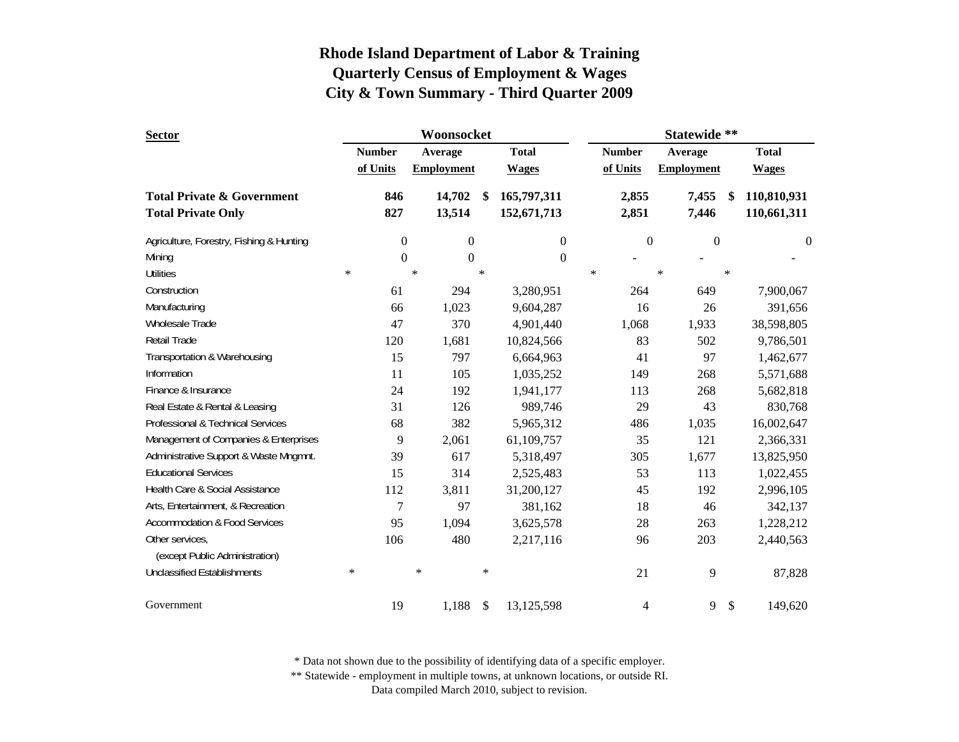| <b>Sector</b>                            | Woonsocket |                  |        |                   |                           |                  |        | Statewide **  |        |                   |        |                  |  |
|------------------------------------------|------------|------------------|--------|-------------------|---------------------------|------------------|--------|---------------|--------|-------------------|--------|------------------|--|
|                                          |            | <b>Number</b>    |        | Average           |                           | <b>Total</b>     |        | <b>Number</b> |        | Average           |        | <b>Total</b>     |  |
|                                          |            | of Units         |        | <b>Employment</b> |                           | <b>Wages</b>     |        | of Units      |        | <b>Employment</b> |        | <b>Wages</b>     |  |
| <b>Total Private &amp; Government</b>    |            | 846              |        | 14,702            | -SS                       | 165,797,311      |        | 2,855         |        | 7,455             | \$     | 110,810,931      |  |
| <b>Total Private Only</b>                |            | 827              |        | 13,514            |                           | 152,671,713      |        | 2,851         |        | 7,446             |        | 110,661,311      |  |
| Agriculture, Forestry, Fishing & Hunting |            | $\boldsymbol{0}$ |        | $\boldsymbol{0}$  |                           | $\boldsymbol{0}$ |        | $\mathbf{0}$  |        | $\boldsymbol{0}$  |        | $\boldsymbol{0}$ |  |
| Mining                                   |            | $\Omega$         |        | $\boldsymbol{0}$  |                           | $\mathbf{0}$     |        |               |        |                   |        |                  |  |
| <b>Utilities</b>                         | $\star$    |                  | $\ast$ |                   | $\ast$                    |                  | $\ast$ |               | $\ast$ |                   | $\ast$ |                  |  |
| Construction                             |            | 61               |        | 294               |                           | 3,280,951        |        | 264           |        | 649               |        | 7,900,067        |  |
| Manufacturing                            |            | 66               |        | 1,023             |                           | 9,604,287        |        | 16            |        | 26                |        | 391,656          |  |
| <b>Wholesale Trade</b>                   |            | 47               |        | 370               |                           | 4,901,440        |        | 1,068         |        | 1,933             |        | 38,598,805       |  |
| <b>Retail Trade</b>                      |            | 120              |        | 1,681             |                           | 10,824,566       |        | 83            |        | 502               |        | 9,786,501        |  |
| Transportation & Warehousing             |            | 15               |        | 797               |                           | 6,664,963        |        | 41            |        | 97                |        | 1,462,677        |  |
| Information                              |            | 11               |        | 105               |                           | 1,035,252        |        | 149           |        | 268               |        | 5,571,688        |  |
| Finance & Insurance                      |            | 24               |        | 192               |                           | 1,941,177        |        | 113           |        | 268               |        | 5,682,818        |  |
| Real Estate & Rental & Leasing           |            | 31               |        | 126               |                           | 989,746          |        | 29            |        | 43                |        | 830,768          |  |
| Professional & Technical Services        |            | 68               |        | 382               |                           | 5,965,312        |        | 486           |        | 1,035             |        | 16,002,647       |  |
| Management of Companies & Enterprises    |            | 9                |        | 2,061             |                           | 61,109,757       |        | 35            |        | 121               |        | 2,366,331        |  |
| Administrative Support & Waste Mngmnt.   |            | 39               |        | 617               |                           | 5,318,497        |        | 305           |        | 1,677             |        | 13,825,950       |  |
| <b>Educational Services</b>              |            | 15               |        | 314               |                           | 2,525,483        |        | 53            |        | 113               |        | 1,022,455        |  |
| Health Care & Social Assistance          |            | 112              |        | 3,811             |                           | 31,200,127       |        | 45            |        | 192               |        | 2,996,105        |  |
| Arts, Entertainment, & Recreation        |            | 7                |        | 97                |                           | 381,162          |        | 18            |        | 46                |        | 342,137          |  |
| <b>Accommodation &amp; Food Services</b> |            | 95               |        | 1,094             |                           | 3,625,578        |        | 28            |        | 263               |        | 1,228,212        |  |
| Other services,                          |            | 106              |        | 480               |                           | 2,217,116        |        | 96            |        | 203               |        | 2,440,563        |  |
| (except Public Administration)           |            |                  |        |                   |                           |                  |        |               |        |                   |        |                  |  |
| <b>Unclassified Establishments</b>       | $\ast$     |                  | $\ast$ |                   | $\ast$                    |                  |        | 21            |        | 9                 |        | 87,828           |  |
| Government                               |            | 19               |        | 1,188             | $\boldsymbol{\mathsf{S}}$ | 13,125,598       |        | 4             |        | 9                 | \$     | 149,620          |  |

\* Data not shown due to the possibility of identifying data of a specific employer.

\*\* Statewide - employment in multiple towns, at unknown locations, or outside RI.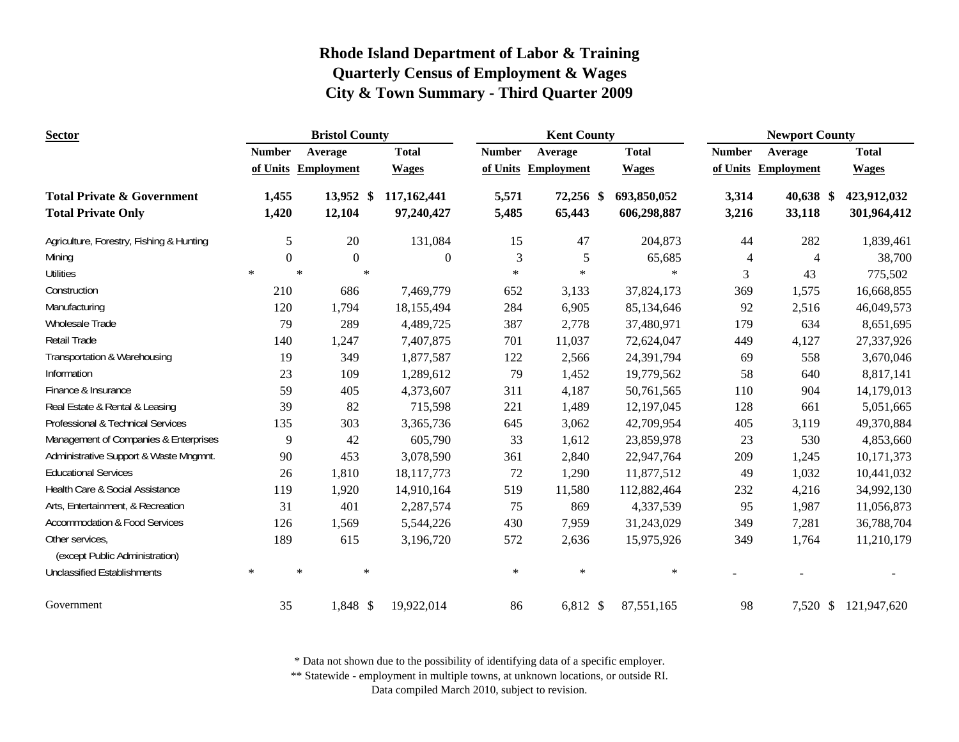| <b>Sector</b>                                     |                  | <b>Bristol County</b> |                |               | <b>Kent County</b>  |              | <b>Newport County</b> |                     |              |  |  |
|---------------------------------------------------|------------------|-----------------------|----------------|---------------|---------------------|--------------|-----------------------|---------------------|--------------|--|--|
|                                                   | <b>Number</b>    | Average               | <b>Total</b>   | <b>Number</b> | Average             | <b>Total</b> | <b>Number</b>         | Average             | <b>Total</b> |  |  |
|                                                   |                  | of Units Employment   | <b>Wages</b>   |               | of Units Employment | <b>Wages</b> |                       | of Units Employment | <b>Wages</b> |  |  |
| <b>Total Private &amp; Government</b>             | 1,455            | 13,952 \$             | 117,162,441    | 5,571         | 72,256 \$           | 693,850,052  | 3,314                 | 40,638 \$           | 423,912,032  |  |  |
| <b>Total Private Only</b>                         | 1,420            | 12,104                | 97,240,427     | 5,485         | 65,443              | 606,298,887  | 3,216                 | 33,118              | 301,964,412  |  |  |
| Agriculture, Forestry, Fishing & Hunting          | 5                | 20                    | 131,084        | 15            | 47                  | 204,873      | 44                    | 282                 | 1,839,461    |  |  |
| Mining                                            | $\boldsymbol{0}$ | $\theta$              | $\overline{0}$ | 3             | 5                   | 65,685       | $\overline{4}$        | 4                   | 38,700       |  |  |
| <b>Utilities</b>                                  | $\ast$           | $\ast$                | $\star$        | $\ast$        | $\ast$              | $\ast$       | 3                     | 43                  | 775,502      |  |  |
| Construction                                      | 210              | 686                   | 7,469,779      | 652           | 3,133               | 37,824,173   | 369                   | 1,575               | 16,668,855   |  |  |
| Manufacturing                                     | 120              | 1,794                 | 18,155,494     | 284           | 6,905               | 85,134,646   | 92                    | 2,516               | 46,049,573   |  |  |
| Wholesale Trade                                   | 79               | 289                   | 4,489,725      | 387           | 2,778               | 37,480,971   | 179                   | 634                 | 8,651,695    |  |  |
| <b>Retail Trade</b>                               | 140              | 1,247                 | 7,407,875      | 701           | 11,037              | 72,624,047   | 449                   | 4,127               | 27,337,926   |  |  |
| Transportation & Warehousing                      | 19               | 349                   | 1,877,587      | 122           | 2,566               | 24,391,794   | 69                    | 558                 | 3,670,046    |  |  |
| Information                                       | 23               | 109                   | 1,289,612      | 79            | 1,452               | 19,779,562   | 58                    | 640                 | 8,817,141    |  |  |
| Finance & Insurance                               | 59               | 405                   | 4,373,607      | 311           | 4,187               | 50,761,565   | 110                   | 904                 | 14,179,013   |  |  |
| Real Estate & Rental & Leasing                    | 39               | 82                    | 715,598        | 221           | 1,489               | 12,197,045   | 128                   | 661                 | 5,051,665    |  |  |
| Professional & Technical Services                 | 135              | 303                   | 3,365,736      | 645           | 3,062               | 42,709,954   | 405                   | 3,119               | 49,370,884   |  |  |
| Management of Companies & Enterprises             | 9                | 42                    | 605,790        | 33            | 1,612               | 23,859,978   | 23                    | 530                 | 4,853,660    |  |  |
| Administrative Support & Waste Mngmnt.            | 90               | 453                   | 3,078,590      | 361           | 2,840               | 22,947,764   | 209                   | 1,245               | 10,171,373   |  |  |
| <b>Educational Services</b>                       | 26               | 1,810                 | 18, 117, 773   | 72            | 1,290               | 11,877,512   | 49                    | 1,032               | 10,441,032   |  |  |
| Health Care & Social Assistance                   | 119              | 1,920                 | 14,910,164     | 519           | 11,580              | 112,882,464  | 232                   | 4,216               | 34,992,130   |  |  |
| Arts, Entertainment, & Recreation                 | 31               | 401                   | 2,287,574      | 75            | 869                 | 4,337,539    | 95                    | 1,987               | 11,056,873   |  |  |
| <b>Accommodation &amp; Food Services</b>          | 126              | 1,569                 | 5,544,226      | 430           | 7,959               | 31,243,029   | 349                   | 7,281               | 36,788,704   |  |  |
| Other services,<br>(except Public Administration) | 189              | 615                   | 3,196,720      | 572           | 2,636               | 15,975,926   | 349                   | 1,764               | 11,210,179   |  |  |
| <b>Unclassified Establishments</b>                | $\ast$           | $\star$               | $\ast$         | $\ast$        | $\ast$              | $\ast$       |                       |                     |              |  |  |
| Government                                        | 35               | 1,848 \$              | 19,922,014     | 86            | 6,812 \$            | 87,551,165   | 98                    | 7,520 \$            | 121,947,620  |  |  |

\* Data not shown due to the possibility of identifying data of a specific employer.

\*\* Statewide - employment in multiple towns, at unknown locations, or outside RI.